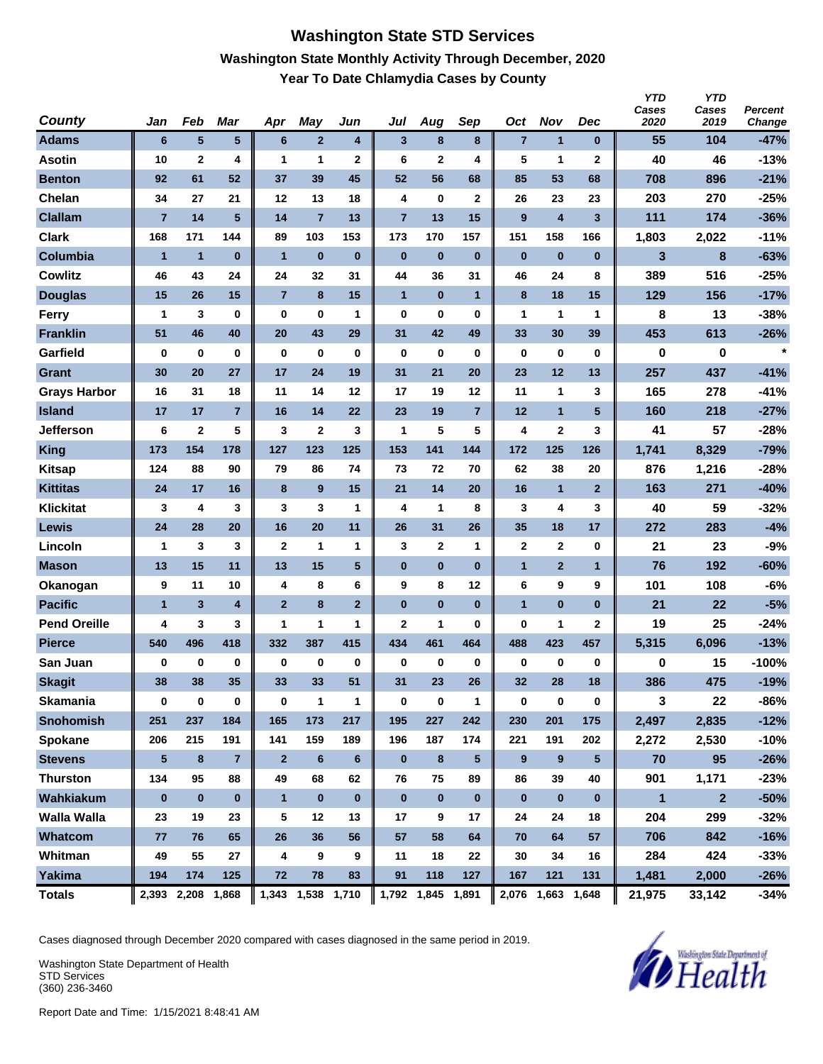### **Washington State STD Services Washington State Monthly Activity Through December, 2020 Year To Date Chlamydia Cases by County**

| County              | Jan             | Feb                     | Mar            | Apr            | May               | Jun            | Jul            | Aug               | Sep            | Oct              | <b>Nov</b>              | Dec                     | <b>YTD</b><br>Cases<br>2020 | <b>YTD</b><br>Cases<br>2019 | <b>Percent</b><br>Change |
|---------------------|-----------------|-------------------------|----------------|----------------|-------------------|----------------|----------------|-------------------|----------------|------------------|-------------------------|-------------------------|-----------------------------|-----------------------------|--------------------------|
| <b>Adams</b>        | $6\phantom{1}6$ | 5                       | 5 <sup>5</sup> | 6              | $\mathbf{2}$      | 4              | $\mathbf{3}$   | 8                 | 8              | $\overline{7}$   | $\mathbf{1}$            | $\bf{0}$                | 55                          | 104                         | $-47%$                   |
| <b>Asotin</b>       | 10              | $\mathbf 2$             | 4              | 1              | 1                 | $\mathbf 2$    | 6              | $\mathbf{2}$      | 4              | 5                | 1                       | $\mathbf 2$             | 40                          | 46                          | $-13%$                   |
| <b>Benton</b>       | 92              | 61                      | 52             | 37             | 39                | 45             | 52             | 56                | 68             | 85               | 53                      | 68                      | 708                         | 896                         | $-21%$                   |
| Chelan              | 34              | 27                      | 21             | 12             | 13                | 18             | 4              | 0                 | $\mathbf 2$    | 26               | 23                      | 23                      | 203                         | 270                         | $-25%$                   |
| <b>Clallam</b>      | $\overline{7}$  | 14                      | 5              | 14             | $\overline{7}$    | 13             | $\overline{7}$ | 13                | 15             | 9                | $\overline{\mathbf{4}}$ | $\overline{\mathbf{3}}$ | 111                         | 174                         | $-36%$                   |
| <b>Clark</b>        | 168             | 171                     | 144            | 89             | 103               | 153            | 173            | 170               | 157            | 151              | 158                     | 166                     | 1,803                       | 2,022                       | $-11%$                   |
| Columbia            | $\overline{1}$  | $\mathbf{1}$            | $\bf{0}$       | $\overline{1}$ | $\bf{0}$          | $\bf{0}$       | $\bf{0}$       | $\bf{0}$          | $\bf{0}$       | $\bf{0}$         | $\bf{0}$                | $\bf{0}$                | 3                           | 8                           | $-63%$                   |
| <b>Cowlitz</b>      | 46              | 43                      | 24             | 24             | 32                | 31             | 44             | 36                | 31             | 46               | 24                      | 8                       | 389                         | 516                         | $-25%$                   |
| <b>Douglas</b>      | 15              | 26                      | 15             | $\overline{7}$ | 8                 | 15             | $\mathbf{1}$   | $\bf{0}$          | $\mathbf{1}$   | 8                | 18                      | 15                      | 129                         | 156                         | $-17%$                   |
| Ferry               | $\mathbf{1}$    | 3                       | 0              | $\bf{0}$       | $\pmb{0}$         | 1              | $\mathbf 0$    | $\bf{0}$          | $\bf{0}$       | 1                | 1                       | $\mathbf{1}$            | 8                           | 13                          | -38%                     |
| <b>Franklin</b>     | 51              | 46                      | 40             | 20             | 43                | 29             | 31             | 42                | 49             | 33               | 30                      | 39                      | 453                         | 613                         | $-26%$                   |
| Garfield            | $\bf{0}$        | 0                       | 0              | $\bf{0}$       | $\bf{0}$          | $\bf{0}$       | $\bf{0}$       | $\bf{0}$          | $\bf{0}$       | $\bf{0}$         | $\bf{0}$                | $\mathbf 0$             | 0                           | 0                           | $\star$                  |
| Grant               | 30              | 20                      | 27             | 17             | 24                | 19             | 31             | 21                | 20             | 23               | 12                      | 13                      | 257                         | 437                         | $-41%$                   |
| <b>Grays Harbor</b> | 16              | 31                      | 18             | 11             | 14                | 12             | 17             | 19                | 12             | 11               | 1                       | 3                       | 165                         | 278                         | $-41%$                   |
| <b>Island</b>       | 17              | 17                      | $\overline{7}$ | 16             | 14                | 22             | 23             | 19                | $\overline{7}$ | 12               | $\mathbf{1}$            | 5                       | 160                         | 218                         | $-27%$                   |
| <b>Jefferson</b>    | 6               | $\mathbf 2$             | 5              | 3              | $\mathbf 2$       | 3              | 1              | 5                 | 5              | 4                | 2                       | 3                       | 41                          | 57                          | -28%                     |
| <b>King</b>         | 173             | 154                     | 178            | 127            | 123               | 125            | 153            | 141               | 144            | 172              | 125                     | 126                     | 1,741                       | 8,329                       | $-79%$                   |
| <b>Kitsap</b>       | 124             | 88                      | 90             | 79             | 86                | 74             | 73             | 72                | 70             | 62               | 38                      | 20                      | 876                         | 1,216                       | $-28%$                   |
| <b>Kittitas</b>     | 24              | 17                      | 16             | 8              | 9                 | 15             | 21             | 14                | 20             | 16               | $\mathbf{1}$            | $\mathbf{2}$            | 163                         | 271                         | $-40%$                   |
| <b>Klickitat</b>    | 3               | 4                       | 3              | 3              | 3                 | 1              | 4              | 1                 | 8              | 3                | 4                       | 3                       | 40                          | 59                          | $-32%$                   |
| Lewis               | 24              | 28                      | 20             | 16             | 20                | 11             | 26             | 31                | 26             | 35               | 18                      | 17                      | 272                         | 283                         | $-4%$                    |
| Lincoln             | 1               | 3                       | 3              | $\mathbf{2}$   | 1                 | 1              | 3              | $\mathbf{2}$      | 1              | $\mathbf{2}$     | $\mathbf{2}$            | $\bf{0}$                | 21                          | 23                          | $-9%$                    |
| <b>Mason</b>        | 13              | 15                      | 11             | 13             | 15                | 5              | $\bf{0}$       | $\bf{0}$          | $\bf{0}$       | $\mathbf{1}$     | $\overline{2}$          | $\mathbf{1}$            | 76                          | 192                         | $-60%$                   |
| Okanogan            | 9               | 11                      | 10             | 4              | 8                 | 6              | 9              | 8                 | 12             | 6                | 9                       | 9                       | 101                         | 108                         | $-6%$                    |
| <b>Pacific</b>      | $\mathbf{1}$    | $\overline{\mathbf{3}}$ | 4              | $\overline{2}$ | 8                 | $\overline{2}$ | $\bf{0}$       | $\bf{0}$          | $\bf{0}$       | $\overline{1}$   | $\bf{0}$                | $\bf{0}$                | 21                          | 22                          | $-5%$                    |
| <b>Pend Oreille</b> | 4               | 3                       | 3              | 1              | 1                 | 1              | $\mathbf{2}$   | 1                 | 0              | 0                | 1                       | $\mathbf{2}$            | 19                          | 25                          | $-24%$                   |
| <b>Pierce</b>       | 540             | 496                     | 418            | 332            | 387               | 415            | 434            | 461               | 464            | 488              | 423                     | 457                     | 5,315                       | 6,096                       | $-13%$                   |
| San Juan            | $\mathbf 0$     | 0                       | $\bf{0}$       | 0              | 0                 | $\bf{0}$       | 0              | 0                 | $\bf{0}$       | 0                | 0                       | $\bf{0}$                | 0                           | 15                          | $-100%$                  |
| <b>Skagit</b>       | 38              | 38                      | 35             | 33             | 33                | 51             | 31             | 23                | 26             | 32               | 28                      | 18                      | 386                         | 475                         | $-19%$                   |
| <b>Skamania</b>     | 0               | $\pmb{0}$               | $\mathbf 0$    | $\bf{0}$       | $\mathbf{1}$      | $\mathbf{1}$   | $\bf{0}$       | $\bf{0}$          | $\mathbf{1}$   | $\bf{0}$         | $\bf{0}$                | $\bf{0}$                | 3                           | 22                          | -86%                     |
| <b>Snohomish</b>    | 251             | 237                     | 184            | 165            | 173               | 217            | 195            | 227               | 242            | 230              | 201                     | 175                     | 2,497                       | 2,835                       | $-12%$                   |
| Spokane             | 206             | 215                     | 191            | 141            | 159               | 189            | 196            | 187               | 174            | 221              | 191                     | 202                     | 2,272                       | 2,530                       | $-10%$                   |
| <b>Stevens</b>      | $\sqrt{5}$      | $\bf8$                  | $\overline{7}$ | $\mathbf{2}$   | $\bf 6$           | $\bf 6$        | $\bf{0}$       | 8                 | 5              | $\boldsymbol{9}$ | 9                       | $\sqrt{5}$              | 70                          | 95                          | $-26%$                   |
| <b>Thurston</b>     | 134             | 95                      | 88             | 49             | 68                | 62             | 76             | 75                | 89             | 86               | 39                      | 40                      | 901                         | 1,171                       | $-23%$                   |
| Wahkiakum           | $\bf{0}$        | $\bf{0}$                | $\bf{0}$       | $\mathbf{1}$   | $\pmb{0}$         | $\bf{0}$       | $\pmb{0}$      | $\pmb{0}$         | $\bf{0}$       | $\bf{0}$         | $\pmb{0}$               | $\mathbf{0}$            | $\blacksquare$              | $\mathbf{2}$                | $-50%$                   |
| Walla Walla         | 23              | 19                      | 23             | 5              | 12                | 13             | 17             | 9                 | 17             | 24               | 24                      | 18                      | 204                         | 299                         | $-32%$                   |
| Whatcom             | 77              | 76                      | 65             | 26             | 36                | 56             | 57             | 58                | 64             | 70               | 64                      | 57                      | 706                         | 842                         | $-16%$                   |
| Whitman             | 49              | 55                      | 27             | 4              | 9                 | 9              | 11             | 18                | 22             | 30               | 34                      | 16                      | 284                         | 424                         | $-33%$                   |
| Yakima              | 194             | 174                     | 125            | 72             | 78                | 83             | 91             | 118               | 127            | 167              | 121                     | 131                     | 1,481                       | 2,000                       | $-26%$                   |
| <b>Totals</b>       |                 | 2,393 2,208 1,868       |                |                | 1,343 1,538 1,710 |                |                | 1,792 1,845 1,891 |                | 2,076            | 1,663 1,648             |                         | 21,975                      | 33,142                      | $-34%$                   |

Cases diagnosed through December 2020 compared with cases diagnosed in the same period in 2019.

Washington State Department of Health STD Services (360) 236-3460

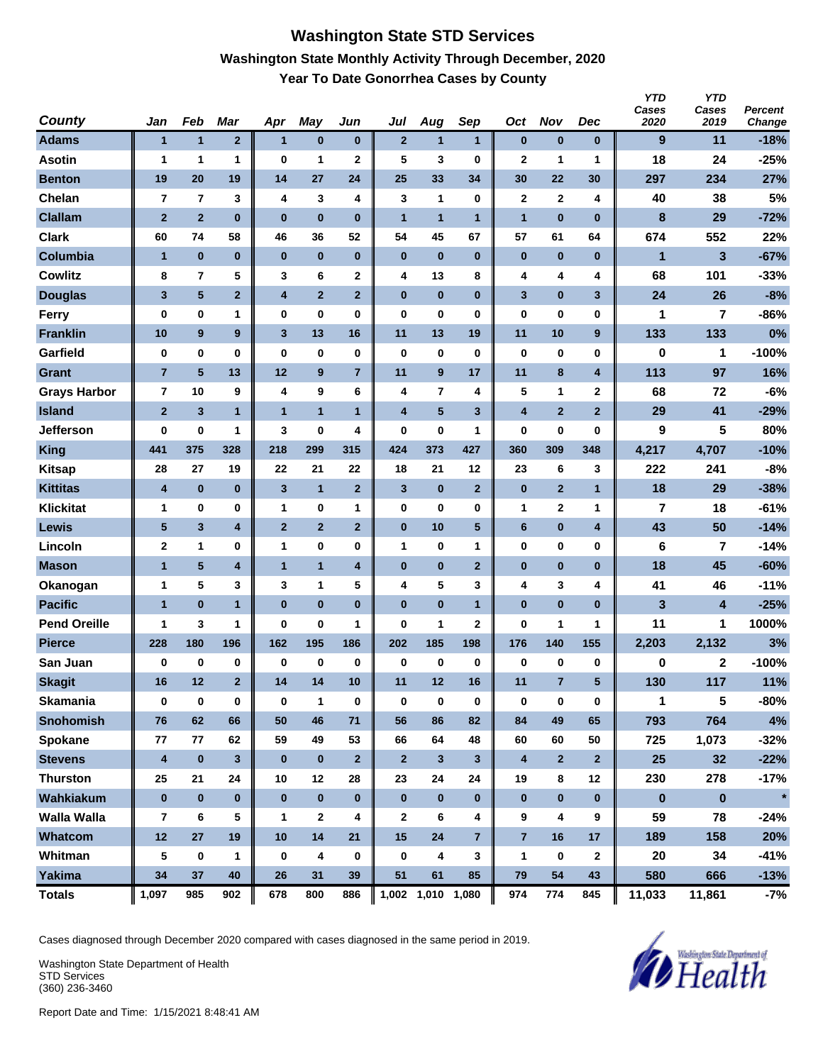### **Washington State STD Services Washington State Monthly Activity Through December, 2020 Year To Date Gonorrhea Cases by County**

| <b>County</b>       | Jan                     | Feb                     | Mar            | Apr                     | May              | Jun            | Jul                     | Aug               | Sep            | Oct                     | <b>Nov</b>       | <b>Dec</b>              | <b>YTD</b><br>Cases<br>2020 | <b>YTD</b><br>Cases<br>2019 | <b>Percent</b><br>Change |
|---------------------|-------------------------|-------------------------|----------------|-------------------------|------------------|----------------|-------------------------|-------------------|----------------|-------------------------|------------------|-------------------------|-----------------------------|-----------------------------|--------------------------|
| <b>Adams</b>        | $\mathbf{1}$            | $\mathbf{1}$            | $\overline{2}$ | $\mathbf{1}$            | $\bf{0}$         | 0              | $\overline{2}$          | $\mathbf{1}$      | $\mathbf{1}$   | $\bf{0}$                | $\bf{0}$         | $\bf{0}$                | 9                           | 11                          | $-18%$                   |
| <b>Asotin</b>       | 1                       | 1                       | 1              | 0                       | 1                | 2              | 5                       | 3                 | $\bf{0}$       | $\mathbf 2$             | 1                | 1                       | 18                          | 24                          | $-25%$                   |
| <b>Benton</b>       | 19                      | 20                      | 19             | 14                      | 27               | 24             | 25                      | 33                | 34             | 30                      | 22               | 30                      | 297                         | 234                         | 27%                      |
| Chelan              | $\overline{7}$          | $\overline{7}$          | 3              | 4                       | 3                | 4              | 3                       | 1                 | $\bf{0}$       | $\mathbf{2}$            | $\mathbf{2}$     | 4                       | 40                          | 38                          | 5%                       |
| <b>Clallam</b>      | $\overline{2}$          | $\overline{2}$          | $\bf{0}$       | $\bf{0}$                | $\bf{0}$         | $\bf{0}$       | $\mathbf{1}$            | $\mathbf{1}$      | $\mathbf{1}$   | $\mathbf{1}$            | $\bf{0}$         | $\bf{0}$                | 8                           | 29                          | $-72%$                   |
| <b>Clark</b>        | 60                      | 74                      | 58             | 46                      | 36               | 52             | 54                      | 45                | 67             | 57                      | 61               | 64                      | 674                         | 552                         | 22%                      |
| Columbia            | $\overline{1}$          | $\bf{0}$                | $\bf{0}$       | $\bf{0}$                | $\bf{0}$         | $\bf{0}$       | $\bf{0}$                | $\bf{0}$          | $\bf{0}$       | $\bf{0}$                | $\bf{0}$         | $\bf{0}$                | $\mathbf{1}$                | 3                           | $-67%$                   |
| <b>Cowlitz</b>      | 8                       | 7                       | 5              | 3                       | 6                | $\mathbf 2$    | 4                       | 13                | 8              | 4                       | 4                | 4                       | 68                          | 101                         | $-33%$                   |
| <b>Douglas</b>      | 3                       | $5\phantom{.0}$         | $\overline{2}$ | $\overline{\mathbf{4}}$ | $\overline{2}$   | $\mathbf{2}$   | $\bf{0}$                | $\bf{0}$          | $\bf{0}$       | 3                       | $\bf{0}$         | 3                       | 24                          | 26                          | $-8%$                    |
| Ferry               | $\bf{0}$                | 0                       | 1              | 0                       | $\bf{0}$         | 0              | $\bf{0}$                | 0                 | 0              | 0                       | 0                | 0                       | 1                           | 7                           | $-86%$                   |
| <b>Franklin</b>     | 10                      | $\boldsymbol{9}$        | 9              | $\mathbf{3}$            | 13               | 16             | 11                      | 13                | 19             | 11                      | 10               | 9                       | 133                         | 133                         | 0%                       |
| Garfield            | $\bf{0}$                | 0                       | 0              | 0                       | 0                | 0              | $\bf{0}$                | 0                 | $\bf{0}$       | 0                       | 0                | $\bf{0}$                | 0                           | 1                           | $-100%$                  |
| <b>Grant</b>        | $\overline{7}$          | ${\bf 5}$               | 13             | 12                      | $\boldsymbol{9}$ | $\overline{7}$ | 11                      | 9                 | 17             | 11                      | 8                | $\overline{\mathbf{4}}$ | 113                         | 97                          | 16%                      |
| <b>Grays Harbor</b> | $\overline{\mathbf{r}}$ | 10                      | 9              | 4                       | 9                | 6              | 4                       | $\overline{7}$    | 4              | 5                       | 1                | $\mathbf{2}$            | 68                          | 72                          | $-6%$                    |
| <b>Island</b>       | $\overline{2}$          | $\overline{\mathbf{3}}$ | $\mathbf{1}$   | $\mathbf{1}$            | $\overline{1}$   | $\mathbf{1}$   | $\overline{\mathbf{4}}$ | $5\phantom{.0}$   | 3              | $\overline{\mathbf{4}}$ | $\overline{2}$   | $\overline{2}$          | 29                          | 41                          | $-29%$                   |
| <b>Jefferson</b>    | 0                       | 0                       | 1              | 3                       | $\bf{0}$         | 4              | $\bf{0}$                | 0                 | 1              | 0                       | 0                | 0                       | 9                           | 5                           | 80%                      |
| <b>King</b>         | 441                     | 375                     | 328            | 218                     | 299              | 315            | 424                     | 373               | 427            | 360                     | 309              | 348                     | 4,217                       | 4,707                       | $-10%$                   |
| <b>Kitsap</b>       | 28                      | 27                      | 19             | 22                      | 21               | 22             | 18                      | 21                | 12             | 23                      | 6                | 3                       | 222                         | 241                         | $-8%$                    |
| <b>Kittitas</b>     | 4                       | $\pmb{0}$               | $\bf{0}$       | 3                       | $\mathbf{1}$     | $\overline{2}$ | 3                       | $\bf{0}$          | $\overline{2}$ | $\pmb{0}$               | $\overline{2}$   | $\mathbf{1}$            | 18                          | 29                          | $-38%$                   |
| <b>Klickitat</b>    | $\mathbf 1$             | 0                       | 0              | 1                       | 0                | $\mathbf{1}$   | $\bf{0}$                | 0                 | 0              | 1                       | 2                | 1                       | 7                           | 18                          | $-61%$                   |
| Lewis               | 5                       | $\mathbf{3}$            | 4              | $\mathbf{2}$            | $\mathbf{2}$     | $\mathbf{2}$   | $\bf{0}$                | 10                | 5              | 6                       | 0                | 4                       | 43                          | 50                          | $-14%$                   |
| Lincoln             | $\mathbf{2}$            | 1                       | 0              | 1                       | $\bf{0}$         | 0              | 1                       | 0                 | 1              | 0                       | 0                | $\mathbf 0$             | 6                           | 7                           | $-14%$                   |
| <b>Mason</b>        | $\mathbf{1}$            | $\overline{\mathbf{5}}$ | 4              | $\mathbf{1}$            | $\mathbf{1}$     | 4              | $\bf{0}$                | $\bf{0}$          | $\overline{2}$ | $\pmb{0}$               | 0                | $\bf{0}$                | 18                          | 45                          | $-60%$                   |
| Okanogan            | $\mathbf 1$             | 5                       | 3              | 3                       | 1                | 5              | 4                       | 5                 | 3              | 4                       | 3                | 4                       | 41                          | 46                          | $-11%$                   |
| <b>Pacific</b>      | $\mathbf{1}$            | $\bf{0}$                | $\mathbf{1}$   | $\bf{0}$                | $\bf{0}$         | $\bf{0}$       | $\bf{0}$                | $\bf{0}$          | 1              | $\bf{0}$                | $\bf{0}$         | $\bf{0}$                | 3                           | 4                           | $-25%$                   |
| <b>Pend Oreille</b> | $\mathbf 1$             | 3                       | 1              | 0                       | $\bf{0}$         | 1              | $\bf{0}$                | 1                 | $\mathbf{2}$   | 0                       | 1                | 1                       | 11                          | 1                           | 1000%                    |
| <b>Pierce</b>       | 228                     | 180                     | 196            | 162                     | 195              | 186            | 202                     | 185               | 198            | 176                     | 140              | 155                     | 2,203                       | 2,132                       | 3%                       |
| San Juan            | $\bf{0}$                | 0                       | 0              | 0                       | $\bf{0}$         | $\bf{0}$       | 0                       | 0                 | $\bf{0}$       | 0                       | 0                | 0                       | 0                           | 2                           | $-100%$                  |
| <b>Skagit</b>       | 16                      | 12                      | $\overline{2}$ | 14                      | 14               | 10             | 11                      | 12                | 16             | 11                      | 7                | 5                       | 130                         | 117                         | 11%                      |
| <b>Skamania</b>     | $\bf{0}$                | $\pmb{0}$               | 0              | $\bf{0}$                | $\mathbf{1}$     | $\pmb{0}$      | $\mathbf 0$             | 0                 | $\bf{0}$       | 0                       | $\pmb{0}$        | $\bf{0}$                | $\mathbf{1}$                | 5                           | -80%                     |
| <b>Snohomish</b>    | 76                      | 62                      | 66             | 50                      | 46               | 71             | 56                      | 86                | 82             | 84                      | 49               | 65                      | 793                         | 764                         | 4%                       |
| Spokane             | 77                      | 77                      | 62             | 59                      | 49               | 53             | 66                      | 64                | 48             | 60                      | 60               | 50                      | 725                         | 1,073                       | $-32%$                   |
| <b>Stevens</b>      | $\boldsymbol{4}$        | $\bf{0}$                | $3\phantom{a}$ | $\bf{0}$                | $\bf{0}$         | $\overline{2}$ | $\overline{2}$          | 3                 | $\mathbf{3}$   | $\overline{\mathbf{4}}$ | $\overline{2}$   | $\overline{2}$          | 25                          | 32                          | $-22%$                   |
| <b>Thurston</b>     | 25                      | 21                      | 24             | 10                      | 12               | 28             | 23                      | 24                | 24             | 19                      | 8                | 12                      | 230                         | 278                         | $-17%$                   |
| Wahkiakum           | $\pmb{0}$               | $\bf{0}$                | $\mathbf{0}$   | $\bf{0}$                | $\pmb{0}$        | $\bf{0}$       | $\bf{0}$                | $\pmb{0}$         | $\mathbf 0$    | $\bf{0}$                | $\pmb{0}$        | $\bf{0}$                | $\pmb{0}$                   | $\bf{0}$                    | $\star$                  |
| <b>Walla Walla</b>  | 7                       | 6                       | 5              | $\mathbf{1}$            | $\mathbf{2}$     | 4              | $\mathbf{2}$            | 6                 | 4              | 9                       | 4                | 9                       | 59                          | 78                          | $-24%$                   |
| Whatcom             | 12                      | 27                      | 19             | 10                      | 14               | 21             | 15                      | 24                | $\overline{7}$ | $\overline{7}$          | 16               | 17                      | 189                         | 158                         | 20%                      |
| Whitman             | 5                       | $\bf{0}$                | 1              | 0                       | $\boldsymbol{4}$ | $\bf{0}$       | 0                       | 4                 | 3              | 1                       | $\boldsymbol{0}$ | $\mathbf{2}$            | 20                          | 34                          | -41%                     |
| Yakima              | 34                      | 37                      | 40             | 26                      | 31               | 39             | 51                      | 61                | 85             | 79                      | 54               | 43                      | 580                         | 666                         | $-13%$                   |
| <b>Totals</b>       | 1,097                   | 985                     | 902            | 678                     | 800              | 886            |                         | 1,002 1,010 1,080 |                | 974                     | 774              | 845                     | 11,033                      | 11,861                      | $-7%$                    |

Cases diagnosed through December 2020 compared with cases diagnosed in the same period in 2019.

Washington State Department of Health STD Services (360) 236-3460

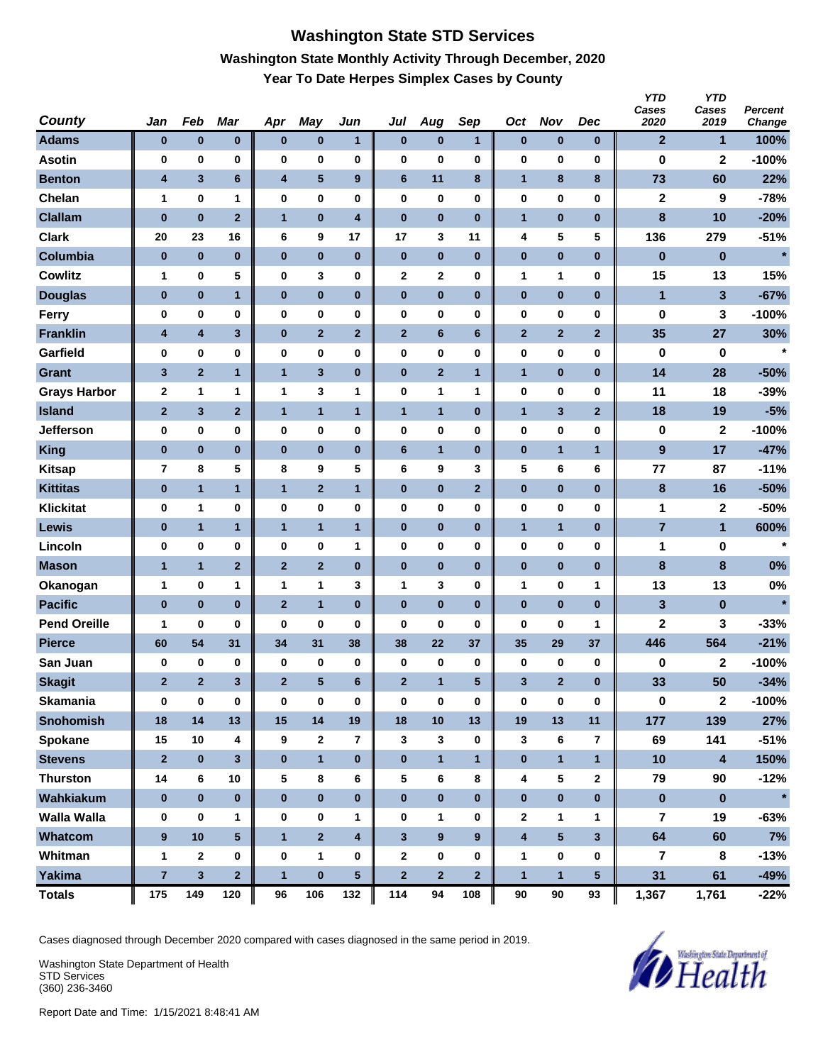# **Washington State STD Services Washington State Monthly Activity Through December, 2020 Year To Date Herpes Simplex Cases by County**

| <b>County</b>       | Jan                     | Feb                     | <b>Mar</b>              | Apr                     | <b>May</b>              | Jun                     | Jul             | Aug            | Sep              | Oct          | <b>Nov</b>     | Dec            | <b>YTD</b><br>Cases<br>2020 | <b>YTD</b><br>Cases<br>2019 | Percent<br>Change |
|---------------------|-------------------------|-------------------------|-------------------------|-------------------------|-------------------------|-------------------------|-----------------|----------------|------------------|--------------|----------------|----------------|-----------------------------|-----------------------------|-------------------|
| <b>Adams</b>        | $\bf{0}$                | $\pmb{0}$               | $\bf{0}$                | $\bf{0}$                | $\bf{0}$                | $\mathbf{1}$            | $\pmb{0}$       | $\bf{0}$       | $\mathbf{1}$     | $\bf{0}$     | $\bf{0}$       | $\bf{0}$       | $\mathbf{2}$                | 1                           | 100%              |
| <b>Asotin</b>       | 0                       | 0                       | 0                       | 0                       | 0                       | 0                       | $\bf{0}$        | 0              | 0                | 0            | 0              | 0              | 0                           | $\mathbf 2$                 | $-100%$           |
| <b>Benton</b>       | 4                       | $\mathbf{3}$            | 6                       | $\overline{\mathbf{4}}$ | $\sqrt{5}$              | 9                       | $6\phantom{1}6$ | 11             | 8                | $\mathbf{1}$ | 8              | 8              | 73                          | 60                          | 22%               |
| Chelan              | 1                       | 0                       | 1                       | 0                       | 0                       | 0                       | 0               | 0              | 0                | 0            | 0              | 0              | $\mathbf 2$                 | 9                           | $-78%$            |
| <b>Clallam</b>      | $\bf{0}$                | $\bf{0}$                | $\overline{2}$          | $\mathbf{1}$            | $\bf{0}$                | $\overline{\mathbf{4}}$ | $\bf{0}$        | $\bf{0}$       | $\bf{0}$         | $\mathbf{1}$ | $\bf{0}$       | $\bf{0}$       | 8                           | 10                          | $-20%$            |
| <b>Clark</b>        | 20                      | 23                      | 16                      | 6                       | 9                       | 17                      | 17              | 3              | 11               | 4            | 5              | 5              | 136                         | 279                         | $-51%$            |
| Columbia            | $\bf{0}$                | $\bf{0}$                | $\bf{0}$                | $\bf{0}$                | $\pmb{0}$               | $\bf{0}$                | $\bf{0}$        | $\bf{0}$       | $\bf{0}$         | $\pmb{0}$    | $\bf{0}$       | $\bf{0}$       | $\bf{0}$                    | $\pmb{0}$                   | $\star$           |
| <b>Cowlitz</b>      | 1                       | 0                       | 5                       | 0                       | 3                       | 0                       | $\mathbf 2$     | $\mathbf 2$    | $\bf{0}$         | 1            | 1              | 0              | 15                          | 13                          | 15%               |
| <b>Douglas</b>      | $\bf{0}$                | $\pmb{0}$               | 1                       | $\bf{0}$                | $\bf{0}$                | $\pmb{0}$               | $\pmb{0}$       | $\pmb{0}$      | $\bf{0}$         | $\pmb{0}$    | $\pmb{0}$      | $\bf{0}$       | $\mathbf{1}$                | 3                           | $-67%$            |
| <b>Ferry</b>        | 0                       | 0                       | 0                       | 0                       | $\bf{0}$                | 0                       | $\bf{0}$        | 0              | $\bf{0}$         | 0            | 0              | 0              | 0                           | 3                           | $-100%$           |
| <b>Franklin</b>     | $\boldsymbol{4}$        | $\overline{\mathbf{4}}$ | $\overline{\mathbf{3}}$ | $\bf{0}$                | $\mathbf{2}$            | $\mathbf{2}$            | $\overline{2}$  | 6              | $6\phantom{1}6$  | $\mathbf{2}$ | $\mathbf{2}$   | $\overline{2}$ | 35                          | 27                          | 30%               |
| Garfield            | 0                       | 0                       | 0                       | 0                       | $\bf{0}$                | 0                       | $\bf{0}$        | 0              | $\bf{0}$         | 0            | 0              | 0              | 0                           | 0                           | $\star$           |
| <b>Grant</b>        | $\mathbf{3}$            | $\overline{2}$          | $\mathbf{1}$            | $\mathbf{1}$            | $\mathbf{3}$            | $\bf{0}$                | $\pmb{0}$       | $\mathbf{2}$   | $\mathbf{1}$     | $\mathbf{1}$ | $\bf{0}$       | $\bf{0}$       | 14                          | 28                          | $-50%$            |
| <b>Grays Harbor</b> | $\mathbf{2}$            | 1                       | 1                       | 1                       | 3                       | 1                       | 0               | 1              | 1                | 0            | 0              | 0              | 11                          | 18                          | $-39%$            |
| <b>Island</b>       | $\mathbf{2}$            | 3                       | $\overline{2}$          | $\mathbf{1}$            | $\mathbf{1}$            | $\mathbf{1}$            | $\overline{1}$  | $\mathbf{1}$   | $\bf{0}$         | 1            | 3              | $\overline{2}$ | 18                          | 19                          | $-5%$             |
| <b>Jefferson</b>    | 0                       | 0                       | 0                       | 0                       | 0                       | 0                       | 0               | 0              | 0                | 0            | 0              | 0              | 0                           | $\mathbf{2}$                | $-100%$           |
| <b>King</b>         | $\bf{0}$                | $\pmb{0}$               | $\bf{0}$                | $\bf{0}$                | $\bf{0}$                | $\bf{0}$                | $6\phantom{1}$  | $\mathbf{1}$   | $\bf{0}$         | $\pmb{0}$    | $\mathbf{1}$   | $\mathbf{1}$   | $\boldsymbol{9}$            | 17                          | $-47%$            |
| <b>Kitsap</b>       | $\overline{\mathbf{r}}$ | 8                       | 5                       | 8                       | 9                       | 5                       | 6               | 9              | 3                | 5            | 6              | 6              | 77                          | 87                          | $-11%$            |
| <b>Kittitas</b>     | $\bf{0}$                | $\mathbf{1}$            | 1                       | $\mathbf{1}$            | $\mathbf{2}$            | $\mathbf{1}$            | $\pmb{0}$       | $\pmb{0}$      | $\mathbf{2}$     | $\pmb{0}$    | $\bf{0}$       | $\bf{0}$       | 8                           | 16                          | $-50%$            |
| <b>Klickitat</b>    | 0                       | 1                       | 0                       | 0                       | $\bf{0}$                | 0                       | $\bf{0}$        | 0              | $\bf{0}$         | 0            | $\bf{0}$       | $\bf{0}$       | 1                           | 2                           | $-50%$            |
| <b>Lewis</b>        | $\bf{0}$                | $\mathbf{1}$            | 1                       | $\mathbf{1}$            | $\mathbf{1}$            | $\mathbf{1}$            | $\pmb{0}$       | $\pmb{0}$      | $\bf{0}$         | $\mathbf{1}$ | $\mathbf{1}$   | $\bf{0}$       | $\overline{7}$              | 1                           | 600%              |
| Lincoln             | 0                       | 0                       | 0                       | 0                       | $\bf{0}$                | 1                       | 0               | 0              | $\bf{0}$         | 0            | $\bf{0}$       | 0              | 1                           | 0                           | $\star$           |
| <b>Mason</b>        | $\mathbf{1}$            | $\mathbf{1}$            | $\overline{2}$          | $\mathbf{2}$            | $\mathbf{2}$            | $\pmb{0}$               | $\pmb{0}$       | $\pmb{0}$      | $\bf{0}$         | $\pmb{0}$    | $\bf{0}$       | $\bf{0}$       | 8                           | $\bf8$                      | 0%                |
| Okanogan            | 1                       | 0                       | 1                       | 1                       | 1                       | 3                       | $\mathbf 1$     | 3              | $\bf{0}$         | 1            | 0              | 1              | 13                          | 13                          | 0%                |
| <b>Pacific</b>      | $\bf{0}$                | $\bf{0}$                | $\bf{0}$                | $\mathbf{2}$            | $\mathbf{1}$            | $\bf{0}$                | $\bf{0}$        | $\bf{0}$       | $\bf{0}$         | $\bf{0}$     | $\bf{0}$       | $\bf{0}$       | 3                           | $\pmb{0}$                   | $\star$           |
| <b>Pend Oreille</b> | 1                       | 0                       | 0                       | 0                       | 0                       | 0                       | 0               | 0              | 0                | 0            | 0              | 1              | 2                           | 3                           | $-33%$            |
| <b>Pierce</b>       | 60                      | 54                      | 31                      | 34                      | 31                      | 38                      | 38              | 22             | 37               | 35           | 29             | 37             | 446                         | 564                         | $-21%$            |
| San Juan            | 0                       | 0                       | 0                       | 0                       | 0                       | 0                       | 0               | 0              | $\bf{0}$         | 0            | 0              | 0              | 0                           | 2                           | $-100%$           |
| <b>Skagit</b>       | $\mathbf{2}$            | $\overline{2}$          | $\overline{\mathbf{3}}$ | $\mathbf{2}$            | ${\bf 5}$               | $6\phantom{1}$          | $\mathbf{2}$    | $\mathbf{1}$   | $5\phantom{.0}$  | 3            | $\overline{2}$ | $\bf{0}$       | 33                          | 50                          | $-34%$            |
| <b>Skamania</b>     | $\bf{0}$                | $\pmb{0}$               | $\bf{0}$                | $\pmb{0}$               | $\bf{0}$                | 0                       | $\mathbf 0$     | 0              | $\pmb{0}$        | $\pmb{0}$    | $\bf{0}$       | 0              | $\pmb{0}$                   | $\mathbf{2}$                | $-100%$           |
| <b>Snohomish</b>    | 18                      | 14                      | 13                      | 15                      | 14                      | 19                      | 18              | 10             | 13               | 19           | 13             | 11             | 177                         | 139                         | 27%               |
| Spokane             | 15                      | 10                      | 4                       | 9                       | $\mathbf{2}$            | $\overline{\mathbf{r}}$ | 3               | 3              | $\bf{0}$         | 3            | 6              | $\overline{7}$ | 69                          | 141                         | $-51%$            |
| <b>Stevens</b>      | $\overline{2}$          | $\pmb{0}$               | $3\phantom{a}$          | $\bf{0}$                | $\overline{\mathbf{1}}$ | $\pmb{0}$               | $\pmb{0}$       | $\mathbf{1}$   | $\mathbf{1}$     | $\pmb{0}$    | $\mathbf{1}$   | $\mathbf{1}$   | 10                          | $\overline{\mathbf{4}}$     | 150%              |
| <b>Thurston</b>     | 14                      | 6                       | 10                      | 5                       | $\bf8$                  | 6                       | 5               | 6              | 8                | 4            | 5              | $\mathbf{2}$   | 79                          | 90                          | $-12%$            |
| Wahkiakum           | $\bf{0}$                | $\bf{0}$                | $\mathbf{0}$            | $\bf{0}$                | $\pmb{0}$               | $\bf{0}$                | $\bf{0}$        | $\pmb{0}$      | $\bf{0}$         | $\pmb{0}$    | $\pmb{0}$      | $\mathbf{0}$   | $\pmb{0}$                   | $\pmb{0}$                   | $\star$           |
| <b>Walla Walla</b>  | 0                       | 0                       | 1                       | 0                       | $\pmb{0}$               | 1                       | 0               | 1              | 0                | 2            | 1              | 1              | 7                           | 19                          | $-63%$            |
| Whatcom             | 9                       | 10                      | 5 <sup>5</sup>          | $\mathbf{1}$            | $\overline{2}$          | 4                       | $\mathbf{3}$    | $\overline{9}$ | $\boldsymbol{9}$ | 4            | 5 <sup>5</sup> | $\mathbf{3}$   | 64                          | 60                          | 7%                |
| Whitman             | $\mathbf{1}$            | $\mathbf{2}$            | 0                       | $\pmb{0}$               | $\mathbf{1}$            | 0                       | $\mathbf{2}$    | 0              | 0                | 1            | 0              | 0              | 7                           | $\bf8$                      | $-13%$            |
| Yakima              | $\overline{7}$          | $\mathbf{3}$            | $\overline{\mathbf{2}}$ | $\mathbf{1}$            | $\pmb{0}$               | $\sqrt{5}$              | $\bf{2}$        | $\overline{2}$ | $\overline{2}$   | $\mathbf{1}$ | $\mathbf{1}$   | $\sqrt{5}$     | 31                          | 61                          | $-49%$            |
| <b>Totals</b>       | 175                     | 149                     | 120                     | 96                      | 106                     | 132                     | 114             | 94             | 108              | 90           | 90             | 93             | 1,367                       | 1,761                       | $-22%$            |

Cases diagnosed through December 2020 compared with cases diagnosed in the same period in 2019.

Washington State Department of Health STD Services (360) 236-3460

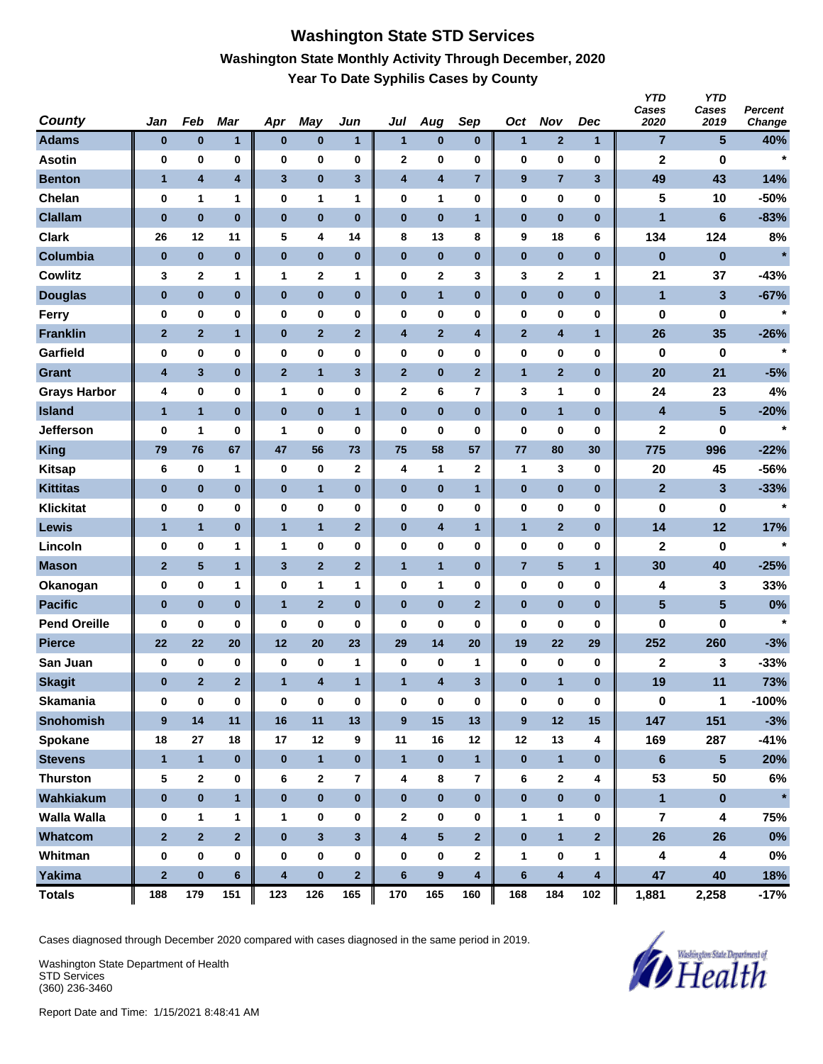### **Washington State STD Services Washington State Monthly Activity Through December, 2020 Year To Date Syphilis Cases by County**

| <b>County</b>       | Jan                     | Feb            | <b>Mar</b>     | Apr                     | May                     | Jun                     | Jul                     | Aug             | Sep                     | Oct                     | <b>Nov</b>              | <b>Dec</b>              | <b>YTD</b><br>Cases<br>2020 | <b>YTD</b><br>Cases<br>2019 | Percent<br>Change |
|---------------------|-------------------------|----------------|----------------|-------------------------|-------------------------|-------------------------|-------------------------|-----------------|-------------------------|-------------------------|-------------------------|-------------------------|-----------------------------|-----------------------------|-------------------|
| <b>Adams</b>        | $\bf{0}$                | $\pmb{0}$      | 1              | $\bf{0}$                | $\pmb{0}$               | 1                       | $\mathbf{1}$            | $\bf{0}$        | $\bf{0}$                | $\mathbf{1}$            | $\mathbf{2}$            | $\mathbf{1}$            | 7                           | 5                           | 40%               |
| <b>Asotin</b>       | 0                       | 0              | 0              | 0                       | 0                       | 0                       | $\mathbf{2}$            | 0               | 0                       | 0                       | 0                       | 0                       | $\mathbf 2$                 | 0                           | $\star$           |
| <b>Benton</b>       | $\mathbf{1}$            | 4              | 4              | $\mathbf{3}$            | $\pmb{0}$               | 3                       | $\overline{\mathbf{4}}$ | 4               | $\overline{7}$          | 9                       | $\overline{7}$          | 3                       | 49                          | 43                          | 14%               |
| Chelan              | 0                       | 1              | 1              | 0                       | 1                       | 1                       | 0                       | 1               | $\bf{0}$                | 0                       | 0                       | 0                       | 5                           | 10                          | $-50%$            |
| <b>Clallam</b>      | $\bf{0}$                | $\bf{0}$       | $\bf{0}$       | $\bf{0}$                | $\bf{0}$                | $\bf{0}$                | $\bf{0}$                | $\bf{0}$        | $\mathbf{1}$            | $\pmb{0}$               | $\bf{0}$                | $\bf{0}$                | $\mathbf{1}$                | $6\phantom{1}$              | $-83%$            |
| <b>Clark</b>        | 26                      | 12             | 11             | 5                       | 4                       | 14                      | 8                       | 13              | 8                       | 9                       | 18                      | 6                       | 134                         | 124                         | 8%                |
| Columbia            | $\bf{0}$                | $\bf{0}$       | $\bf{0}$       | $\bf{0}$                | $\pmb{0}$               | $\bf{0}$                | $\bf{0}$                | $\bf{0}$        | $\bf{0}$                | $\pmb{0}$               | $\bf{0}$                | $\bf{0}$                | $\bf{0}$                    | $\bf{0}$                    | $\star$           |
| <b>Cowlitz</b>      | 3                       | $\mathbf 2$    | 1              | 1                       | $\mathbf{2}$            | 1                       | $\bf{0}$                | 2               | 3                       | 3                       | 2                       | 1                       | 21                          | 37                          | $-43%$            |
| <b>Douglas</b>      | $\bf{0}$                | $\pmb{0}$      | $\bf{0}$       | $\bf{0}$                | $\pmb{0}$               | $\pmb{0}$               | $\pmb{0}$               | $\mathbf{1}$    | $\bf{0}$                | $\pmb{0}$               | $\bf{0}$                | $\bf{0}$                | $\mathbf{1}$                | 3                           | $-67%$            |
| <b>Ferry</b>        | 0                       | 0              | 0              | 0                       | $\bf{0}$                | 0                       | $\bf{0}$                | 0               | $\bf{0}$                | 0                       | 0                       | 0                       | 0                           | 0                           | $\star$           |
| <b>Franklin</b>     | $\mathbf{2}$            | $\mathbf{2}$   | 1              | $\bf{0}$                | $\mathbf{2}$            | $\mathbf{2}$            | $\overline{\mathbf{4}}$ | $\mathbf{2}$    | 4                       | $\mathbf{2}$            | 4                       | $\mathbf{1}$            | 26                          | 35                          | $-26%$            |
| Garfield            | 0                       | 0              | 0              | 0                       | $\bf{0}$                | 0                       | $\bf{0}$                | 0               | 0                       | 0                       | 0                       | 0                       | 0                           | 0                           | $\star$           |
| <b>Grant</b>        | $\overline{\mathbf{4}}$ | $\mathbf{3}$   | $\bf{0}$       | $\mathbf{2}$            | $\mathbf{1}$            | 3                       | $\overline{2}$          | $\pmb{0}$       | $\mathbf{2}$            | $\mathbf{1}$            | $\mathbf{2}$            | $\bf{0}$                | 20                          | 21                          | $-5%$             |
| <b>Grays Harbor</b> | 4                       | 0              | 0              | 1                       | 0                       | 0                       | $\mathbf 2$             | 6               | 7                       | 3                       | 1                       | 0                       | 24                          | 23                          | 4%                |
| <b>Island</b>       | $\mathbf{1}$            | $\mathbf{1}$   | $\bf{0}$       | $\bf{0}$                | $\bf{0}$                | $\mathbf{1}$            | $\bf{0}$                | $\bf{0}$        | $\bf{0}$                | $\pmb{0}$               | $\mathbf{1}$            | $\bf{0}$                | 4                           | 5                           | $-20%$            |
| <b>Jefferson</b>    | 0                       | 1              | 0              | 1                       | 0                       | 0                       | 0                       | 0               | 0                       | 0                       | 0                       | 0                       | $\mathbf 2$                 | 0                           | $\star$           |
| <b>King</b>         | 79                      | 76             | 67             | 47                      | 56                      | 73                      | 75                      | 58              | 57                      | 77                      | 80                      | 30                      | 775                         | 996                         | $-22%$            |
| <b>Kitsap</b>       | 6                       | 0              | 1              | 0                       | 0                       | 2                       | 4                       | 1               | $\mathbf 2$             | 1                       | 3                       | 0                       | 20                          | 45                          | $-56%$            |
| <b>Kittitas</b>     | $\bf{0}$                | $\pmb{0}$      | $\bf{0}$       | $\bf{0}$                | $\mathbf{1}$            | $\bf{0}$                | $\bf{0}$                | 0               | $\mathbf{1}$            | $\pmb{0}$               | $\bf{0}$                | $\bf{0}$                | $\mathbf{2}$                | 3                           | $-33%$            |
| <b>Klickitat</b>    | 0                       | 0              | 0              | 0                       | 0                       | 0                       | $\bf{0}$                | 0               | $\bf{0}$                | 0                       | $\bf{0}$                | 0                       | 0                           | 0                           | $\star$           |
| <b>Lewis</b>        | 1                       | $\mathbf{1}$   | $\bf{0}$       | $\mathbf{1}$            | $\mathbf{1}$            | $\mathbf{2}$            | $\pmb{0}$               | 4               | 1                       | $\mathbf{1}$            | $\mathbf{2}$            | $\bf{0}$                | 14                          | 12                          | 17%               |
| Lincoln             | 0                       | 0              | 1              | 1                       | $\bf{0}$                | 0                       | $\bf{0}$                | 0               | $\bf{0}$                | 0                       | 0                       | 0                       | 2                           | 0                           | $\star$           |
| <b>Mason</b>        | $\mathbf{2}$            | 5              | $\mathbf{1}$   | $\mathbf{3}$            | $\mathbf{2}$            | $\mathbf{2}$            | $\mathbf{1}$            | $\mathbf{1}$    | $\bf{0}$                | $\overline{\mathbf{r}}$ | 5                       | $\mathbf{1}$            | 30                          | 40                          | $-25%$            |
| Okanogan            | $\bf{0}$                | 0              | 1              | 0                       | 1                       | 1                       | 0                       | 1               | $\bf{0}$                | 0                       | 0                       | 0                       | 4                           | 3                           | 33%               |
| <b>Pacific</b>      | $\bf{0}$                | $\bf{0}$       | $\bf{0}$       | $\mathbf{1}$            | $\overline{2}$          | $\bf{0}$                | $\bf{0}$                | $\bf{0}$        | $\mathbf{2}$            | $\bf{0}$                | $\bf{0}$                | $\bf{0}$                | 5                           | 5                           | 0%                |
| <b>Pend Oreille</b> | 0                       | 0              | 0              | 0                       | 0                       | 0                       | 0                       | 0               | 0                       | 0                       | 0                       | 0                       | 0                           | 0                           | $\star$           |
| <b>Pierce</b>       | 22                      | 22             | 20             | 12                      | 20                      | 23                      | 29                      | 14              | 20                      | 19                      | 22                      | 29                      | 252                         | 260                         | $-3%$             |
| San Juan            | 0                       | 0              | 0              | 0                       | 0                       | 1                       | 0                       | 0               | $\mathbf{1}$            | 0                       | 0                       | 0                       | 2                           | 3                           | $-33%$            |
| <b>Skagit</b>       | $\bf{0}$                | $\overline{2}$ | $\overline{2}$ | 1                       | $\overline{\mathbf{4}}$ | $\mathbf{1}$            | $\mathbf{1}$            | 4               | 3                       | $\bf{0}$                | $\mathbf{1}$            | $\bf{0}$                | 19                          | 11                          | 73%               |
| <b>Skamania</b>     | $\bf{0}$                | 0              | $\bf{0}$       | $\pmb{0}$               | $\bf{0}$                | 0                       | $\bf{0}$                | 0               | $\pmb{0}$               | $\bf{0}$                | $\bf{0}$                | 0                       | $\pmb{0}$                   | $\mathbf{1}$                | $-100%$           |
| <b>Snohomish</b>    | 9                       | 14             | 11             | 16                      | 11                      | 13                      | 9                       | 15              | 13                      | $\boldsymbol{9}$        | 12                      | 15                      | 147                         | 151                         | $-3%$             |
| Spokane             | 18                      | 27             | 18             | 17                      | 12                      | 9                       | 11                      | 16              | 12                      | 12                      | 13                      | 4                       | 169                         | 287                         | $-41%$            |
| <b>Stevens</b>      | $\mathbf{1}$            | $\mathbf{1}$   | $\mathbf{0}$   | $\bf{0}$                | $\mathbf{1}$            | $\bf{0}$                | $\mathbf{1}$            | $\bf{0}$        | $\mathbf{1}$            | $\pmb{0}$               | $\mathbf{1}$            | $\bf{0}$                | $6\phantom{a}$              | $\overline{\mathbf{5}}$     | 20%               |
| <b>Thurston</b>     | ${\bf 5}$               | $\mathbf 2$    | 0              | 6                       | $\mathbf 2$             | 7                       | 4                       | 8               | $\overline{\mathbf{r}}$ | 6                       | $\mathbf{2}$            | 4                       | 53                          | 50                          | $6\%$             |
| Wahkiakum           | $\pmb{0}$               | $\pmb{0}$      | $\mathbf{1}$   | $\bf{0}$                | $\pmb{0}$               | $\pmb{0}$               | $\bf{0}$                | $\pmb{0}$       | $\pmb{0}$               | $\pmb{0}$               | $\pmb{0}$               | $\bf{0}$                | $\mathbf{1}$                | $\pmb{0}$                   | $\star$           |
| <b>Walla Walla</b>  | 0                       | 1              | 1              | 1                       | $\pmb{0}$               | 0                       | $\mathbf{2}$            | 0               | 0                       | 1                       | 1                       | 0                       | 7                           | 4                           | 75%               |
| Whatcom             | $\overline{2}$          | $\overline{2}$ | $\overline{2}$ | $\bf{0}$                | $\mathbf{3}$            | $\overline{\mathbf{3}}$ | $\overline{\mathbf{4}}$ | $5\phantom{.0}$ | $\overline{\mathbf{2}}$ | $\pmb{0}$               | $\mathbf{1}$            | 2 <sup>1</sup>          | 26                          | 26                          | $0\%$             |
| Whitman             | 0                       | 0              | 0              | 0                       | $\pmb{0}$               | 0                       | $\bf{0}$                | 0               | $\mathbf{2}$            | 1                       | 0                       | 1                       | 4                           | 4                           | $0\%$             |
| Yakima              | $\mathbf 2$             | $\pmb{0}$      | $6\phantom{a}$ | $\overline{\mathbf{4}}$ | $\pmb{0}$               | $\overline{2}$          | $\bf 6$                 | $\pmb{9}$       | $\overline{\mathbf{4}}$ | $\bf 6$                 | $\overline{\mathbf{4}}$ | $\overline{\mathbf{4}}$ | 47                          | 40                          | 18%               |
| <b>Totals</b>       | 188                     | 179            | 151            | 123                     | 126                     | 165                     | 170                     | 165             | 160                     | 168                     | 184                     | 102                     | 1,881                       | 2,258                       | $-17%$            |

Cases diagnosed through December 2020 compared with cases diagnosed in the same period in 2019.

Washington State Department of Health STD Services (360) 236-3460

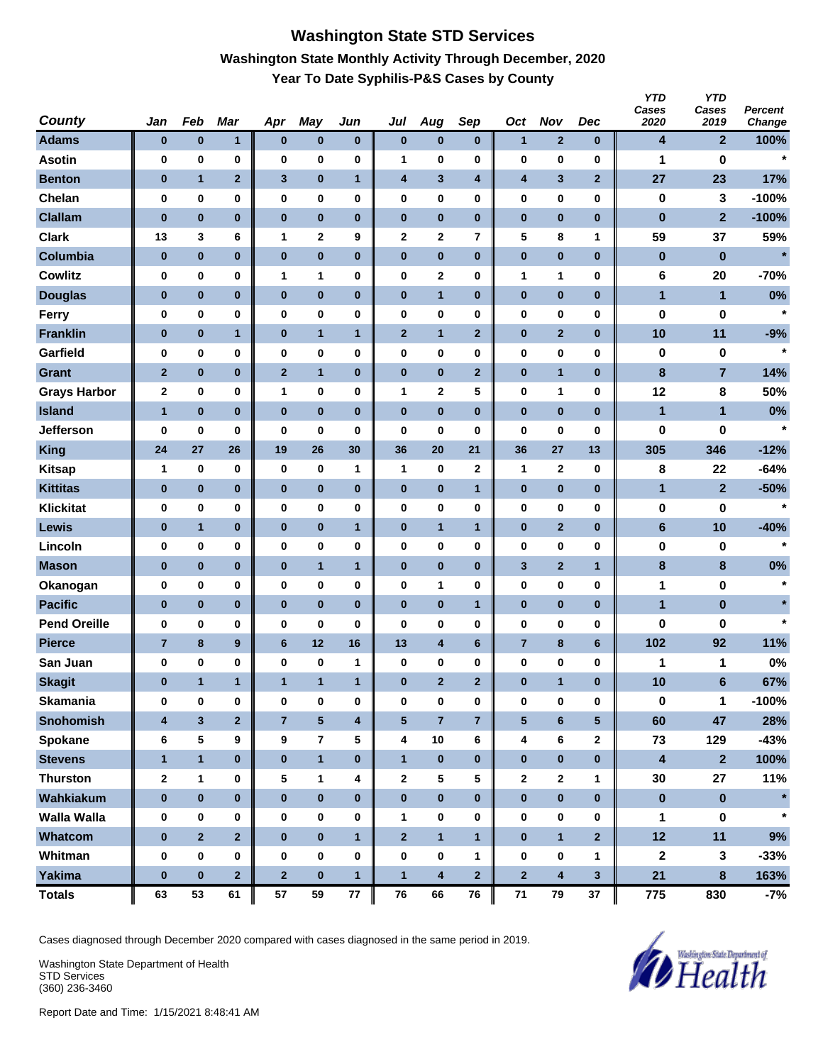# **Washington State STD Services Washington State Monthly Activity Through December, 2020 Year To Date Syphilis-P&S Cases by County**

| <b>County</b>       | Jan                     | Feb            | <b>Mar</b>              | Apr            | May            | Jun                     | Jul            | Aug                     | Sep            | Oct                     | <b>Nov</b>              | Dec                     | <b>YTD</b><br>Cases<br>2020 | <b>YTD</b><br>Cases<br>2019 | Percent<br>Change |
|---------------------|-------------------------|----------------|-------------------------|----------------|----------------|-------------------------|----------------|-------------------------|----------------|-------------------------|-------------------------|-------------------------|-----------------------------|-----------------------------|-------------------|
| <b>Adams</b>        | $\bf{0}$                | $\pmb{0}$      | 1                       | $\pmb{0}$      | $\bf{0}$       | $\bf{0}$                | $\pmb{0}$      | $\pmb{0}$               | $\bf{0}$       | $\mathbf{1}$            | $\mathbf{2}$            | $\bf{0}$                | 4                           | $\mathbf{2}$                | 100%              |
| <b>Asotin</b>       | $\bf{0}$                | 0              | 0                       | 0              | $\bf{0}$       | 0                       | 1              | 0                       | $\bf{0}$       | 0                       | 0                       | $\bf{0}$                | 1                           | 0                           | $\star$           |
| <b>Benton</b>       | $\bf{0}$                | $\mathbf{1}$   | $\overline{2}$          | 3              | $\bf{0}$       | $\mathbf{1}$            | 4              | 3                       | 4              | 4                       | 3                       | $\overline{2}$          | 27                          | 23                          | 17%               |
| Chelan              | $\bf{0}$                | 0              | 0                       | 0              | $\pmb{0}$      | 0                       | 0              | 0                       | 0              | 0                       | $\bf{0}$                | 0                       | $\pmb{0}$                   | 3                           | $-100%$           |
| <b>Clallam</b>      | $\bf{0}$                | $\bf{0}$       | $\bf{0}$                | $\bf{0}$       | $\bf{0}$       | $\bf{0}$                | $\bf{0}$       | $\bf{0}$                | $\bf{0}$       | $\pmb{0}$               | $\bf{0}$                | $\bf{0}$                | $\bf{0}$                    | $\mathbf{2}$                | $-100%$           |
| <b>Clark</b>        | 13                      | 3              | 6                       | 1              | 2              | 9                       | 2              | 2                       | 7              | 5                       | 8                       | 1                       | 59                          | 37                          | 59%               |
| Columbia            | $\bf{0}$                | $\pmb{0}$      | $\bf{0}$                | $\pmb{0}$      | $\pmb{0}$      | $\pmb{0}$               | $\pmb{0}$      | $\bf{0}$                | $\bf{0}$       | $\pmb{0}$               | $\bf{0}$                | $\bf{0}$                | $\bf{0}$                    | $\pmb{0}$                   | $\star$           |
| <b>Cowlitz</b>      | 0                       | 0              | 0                       | 1              | 1              | 0                       | 0              | 2                       | $\bf{0}$       | 1                       | 1                       | 0                       | 6                           | 20                          | $-70%$            |
| <b>Douglas</b>      | $\bf{0}$                | $\pmb{0}$      | $\bf{0}$                | 0              | $\pmb{0}$      | $\pmb{0}$               | $\pmb{0}$      | $\mathbf{1}$            | $\bf{0}$       | $\bf{0}$                | $\pmb{0}$               | $\bf{0}$                | 1                           | $\mathbf{1}$                | 0%                |
| Ferry               | $\bf{0}$                | 0              | 0                       | 0              | $\bf{0}$       | 0                       | 0              | 0                       | 0              | 0                       | 0                       | 0                       | 0                           | 0                           | $\star$           |
| <b>Franklin</b>     | $\bf{0}$                | $\pmb{0}$      | 1                       | $\bf{0}$       | $\overline{1}$ | $\mathbf{1}$            | $\mathbf{2}$   | $\mathbf{1}$            | $\mathbf{2}$   | $\pmb{0}$               | $\mathbf{2}$            | $\bf{0}$                | 10                          | 11                          | $-9%$             |
| Garfield            | $\bf{0}$                | 0              | 0                       | 0              | $\bf{0}$       | 0                       | 0              | 0                       | $\bf{0}$       | 0                       | 0                       | $\bf{0}$                | 0                           | 0                           | $\star$           |
| <b>Grant</b>        | $\overline{2}$          | $\pmb{0}$      | $\bf{0}$                | $\mathbf{2}$   | $\overline{1}$ | $\pmb{0}$               | $\pmb{0}$      | $\pmb{0}$               | $\overline{2}$ | $\bf{0}$                | $\mathbf{1}$            | $\bf{0}$                | $\pmb{8}$                   | $\overline{7}$              | 14%               |
| <b>Grays Harbor</b> | $\mathbf{2}$            | 0              | 0                       | 1              | $\bf{0}$       | 0                       | 1              | $\mathbf 2$             | 5              | 0                       | 1                       | 0                       | 12                          | 8                           | 50%               |
| <b>Island</b>       | $\mathbf{1}$            | $\bf{0}$       | $\bf{0}$                | $\bf{0}$       | $\bf{0}$       | $\bf{0}$                | $\bf{0}$       | $\bf{0}$                | $\bf{0}$       | $\bf{0}$                | $\bf{0}$                | $\bf{0}$                | 1                           | $\mathbf{1}$                | 0%                |
| <b>Jefferson</b>    | 0                       | 0              | 0                       | 0              | 0              | 0                       | 0              | 0                       | 0              | 0                       | 0                       | 0                       | 0                           | 0                           | $\star$           |
| <b>King</b>         | 24                      | 27             | 26                      | 19             | 26             | 30                      | 36             | 20                      | 21             | 36                      | 27                      | 13                      | 305                         | 346                         | $-12%$            |
| <b>Kitsap</b>       | $\mathbf 1$             | 0              | 0                       | 0              | 0              | 1                       | 1              | 0                       | $\mathbf 2$    | 1                       | 2                       | $\bf{0}$                | 8                           | 22                          | $-64%$            |
| <b>Kittitas</b>     | $\bf{0}$                | $\pmb{0}$      | $\bf{0}$                | 0              | $\bf{0}$       | $\pmb{0}$               | $\pmb{0}$      | 0                       | $\mathbf{1}$   | $\bf{0}$                | $\bf{0}$                | $\bf{0}$                | 1                           | $\mathbf{2}$                | $-50%$            |
| <b>Klickitat</b>    | $\bf{0}$                | 0              | 0                       | 0              | 0              | 0                       | 0              | 0                       | 0              | 0                       | 0                       | $\mathbf 0$             | 0                           | 0                           | $\star$           |
| <b>Lewis</b>        | $\bf{0}$                | $\mathbf{1}$   | $\bf{0}$                | $\bf{0}$       | $\pmb{0}$      | $\mathbf{1}$            | $\pmb{0}$      | $\mathbf{1}$            | $\mathbf{1}$   | $\pmb{0}$               | $\mathbf{2}$            | $\bf{0}$                | $6\phantom{a}$              | 10                          | $-40%$            |
| Lincoln             | $\bf{0}$                | 0              | 0                       | 0              | $\bf{0}$       | 0                       | 0              | 0                       | $\bf{0}$       | 0                       | 0                       | $\bf{0}$                | 0                           | 0                           | $\star$           |
| <b>Mason</b>        | $\bf{0}$                | $\pmb{0}$      | $\bf{0}$                | $\pmb{0}$      | $\overline{1}$ | $\mathbf{1}$            | $\pmb{0}$      | $\pmb{0}$               | $\bf{0}$       | 3                       | $\mathbf{2}$            | $\mathbf{1}$            | $\pmb{8}$                   | $\bf8$                      | $0\%$             |
| Okanogan            | 0                       | 0              | 0                       | 0              | $\bf{0}$       | 0                       | 0              | 1                       | $\bf{0}$       | 0                       | 0                       | 0                       | 1                           | 0                           | $\star$           |
| <b>Pacific</b>      | $\bf{0}$                | $\bf{0}$       | $\bf{0}$                | $\bf{0}$       | $\bf{0}$       | $\bf{0}$                | $\bf{0}$       | $\bf{0}$                | $\mathbf{1}$   | $\pmb{0}$               | $\bf{0}$                | $\bf{0}$                | 1                           | $\pmb{0}$                   | $\star$           |
| <b>Pend Oreille</b> | 0                       | 0              | 0                       | 0              | $\bf{0}$       | 0                       | 0              | 0                       | 0              | 0                       | 0                       | 0                       | 0                           | 0                           | $\star$           |
| <b>Pierce</b>       | $\overline{7}$          | 8              | 9                       | $6\phantom{a}$ | 12             | 16                      | 13             | $\overline{\mathbf{4}}$ | $6\phantom{1}$ | $\overline{7}$          | 8                       | 6                       | 102                         | 92                          | 11%               |
| San Juan            | 0                       | 0              | 0                       | 0              | 0              | 1                       | 0              | 0                       | 0              | 0                       | 0                       | 0                       | 1                           | 1                           | 0%                |
| <b>Skagit</b>       | $\bf{0}$                | $\mathbf{1}$   | 1                       | $\mathbf{1}$   | $\mathbf{1}$   | $\mathbf{1}$            | $\bf{0}$       | $\overline{2}$          | $\overline{2}$ | $\bf{0}$                | $\mathbf{1}$            | $\bf{0}$                | 10                          | 6                           | 67%               |
| <b>Skamania</b>     | $\bf{0}$                | 0              | 0                       | $\bf{0}$       | $\bf{0}$       | 0                       | 0              | 0                       | $\pmb{0}$      | $\bf{0}$                | 0                       | $\bf{0}$                | $\pmb{0}$                   | $\mathbf{1}$                | $-100%$           |
| <b>Snohomish</b>    | $\overline{\mathbf{4}}$ | $\mathbf{3}$   | $\overline{\mathbf{2}}$ | $\overline{7}$ | ${\bf 5}$      | $\overline{\mathbf{4}}$ | $\sqrt{5}$     | $\overline{7}$          | $\overline{7}$ | $\overline{\mathbf{5}}$ | $\bf 6$                 | $5\phantom{.0}$         | 60                          | 47                          | 28%               |
| Spokane             | 6                       | 5              | 9                       | 9              | $\overline{7}$ | 5                       | 4              | $10$                    | 6              | 4                       | 6                       | $\mathbf{2}$            | 73                          | 129                         | $-43%$            |
| <b>Stevens</b>      | $\mathbf{1}$            | $\mathbf{1}$   | $\pmb{0}$               | $\bf{0}$       | $\mathbf{1}$   | $\bf{0}$                | $\mathbf{1}$   | $\pmb{0}$               | $\bf{0}$       | $\pmb{0}$               | $\pmb{0}$               | $\mathbf{0}$            | $\overline{\mathbf{4}}$     | $\overline{\mathbf{2}}$     | 100%              |
| <b>Thurston</b>     | $\bf{2}$                | 1              | 0                       | 5              | $\mathbf{1}$   | 4                       | $\mathbf{2}$   | 5                       | 5              | $\mathbf 2$             | $\mathbf{2}$            | 1                       | 30                          | 27                          | 11%               |
| Wahkiakum           | $\pmb{0}$               | $\pmb{0}$      | $\mathbf{0}$            | $\bf{0}$       | $\pmb{0}$      | $\pmb{0}$               | $\pmb{0}$      | $\bf{0}$                | $\bf{0}$       | $\pmb{0}$               | $\pmb{0}$               | $\bf{0}$                | $\pmb{0}$                   | $\pmb{0}$                   | $\star$           |
| <b>Walla Walla</b>  | 0                       | 0              | 0                       | 0              | 0              | 0                       | 1              | 0                       | 0              | 0                       | 0                       | 0                       | 1                           | 0                           | $\star$           |
| Whatcom             | $\pmb{0}$               | $\overline{2}$ | $\overline{2}$          | $\bf{0}$       | $\pmb{0}$      | $\mathbf{1}$            | $\overline{2}$ | $\mathbf{1}$            | $\mathbf{1}$   | $\pmb{0}$               | $\overline{1}$          | $\overline{\mathbf{2}}$ | 12                          | 11                          | 9%                |
| Whitman             | $\pmb{0}$               | 0              | 0                       | $\bf{0}$       | 0              | 0                       | $\bf{0}$       | $\pmb{0}$               | $\mathbf{1}$   | 0                       | 0                       | $\mathbf{1}$            | $\boldsymbol{2}$            | $\mathbf{3}$                | $-33%$            |
| Yakima              | $\pmb{0}$               | $\pmb{0}$      | $\overline{2}$          | $\mathbf{2}$   | $\pmb{0}$      | $\mathbf{1}$            | $\mathbf{1}$   | 4                       | $\overline{2}$ | $\overline{\mathbf{2}}$ | $\overline{\mathbf{4}}$ | $\mathbf{3}$            | 21                          | 8                           | 163%              |
| <b>Totals</b>       | 63                      | 53             | 61                      | 57             | 59             | 77                      | 76             | 66                      | ${\bf 76}$     | $\bf 71$                | 79                      | 37                      | 775                         | 830                         | $-7%$             |

Cases diagnosed through December 2020 compared with cases diagnosed in the same period in 2019.

Washington State Department of Health STD Services (360) 236-3460

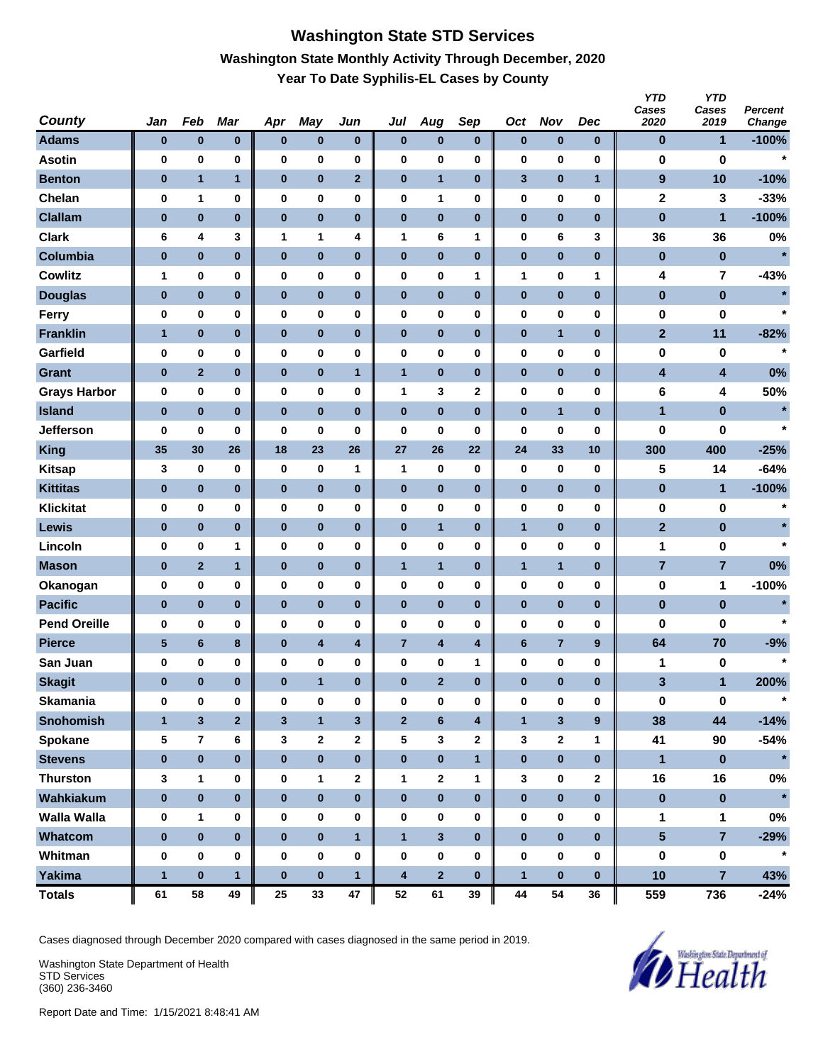# **Washington State STD Services Washington State Monthly Activity Through December, 2020 Year To Date Syphilis-EL Cases by County**

| <b>County</b>       | Jan             | Feb                     | <b>Mar</b>              | Apr          | May                     | Jun                     | Jul                     | Aug                     | Sep                     | Oct          | <b>Nov</b>     | Dec          | <b>YTD</b><br>Cases<br>2020 | <b>YTD</b><br>Cases<br>2019 | Percent<br>Change |
|---------------------|-----------------|-------------------------|-------------------------|--------------|-------------------------|-------------------------|-------------------------|-------------------------|-------------------------|--------------|----------------|--------------|-----------------------------|-----------------------------|-------------------|
| <b>Adams</b>        | $\bf{0}$        | $\bf{0}$                | $\pmb{0}$               | $\bf{0}$     | $\pmb{0}$               | $\bf{0}$                | $\bf{0}$                | $\pmb{0}$               | $\bf{0}$                | $\pmb{0}$    | $\bf{0}$       | $\bf{0}$     | $\bf{0}$                    | 1                           | $-100%$           |
| <b>Asotin</b>       | 0               | 0                       | 0                       | 0            | $\bf{0}$                | 0                       | 0                       | 0                       | $\bf{0}$                | 0            | $\bf{0}$       | 0            | 0                           | $\bf{0}$                    | $\star$           |
| <b>Benton</b>       | $\bf{0}$        | $\mathbf{1}$            | $\mathbf{1}$            | $\pmb{0}$    | $\pmb{0}$               | $\mathbf{2}$            | $\pmb{0}$               | $\mathbf{1}$            | $\pmb{0}$               | 3            | $\bf{0}$       | $\mathbf{1}$ | $\boldsymbol{9}$            | 10                          | $-10%$            |
| Chelan              | 0               | 1                       | 0                       | 0            | 0                       | 0                       | 0                       | 1                       | 0                       | 0            | $\bf{0}$       | 0            | $\mathbf 2$                 | 3                           | $-33%$            |
| <b>Clallam</b>      | $\pmb{0}$       | $\bf{0}$                | $\bf{0}$                | $\bf{0}$     | $\bf{0}$                | $\bf{0}$                | $\bf{0}$                | $\bf{0}$                | $\bf{0}$                | $\pmb{0}$    | $\bf{0}$       | $\bf{0}$     | $\pmb{0}$                   | 1                           | $-100%$           |
| <b>Clark</b>        | 6               | 4                       | 3                       | 1            | 1                       | 4                       | 1                       | 6                       | 1                       | 0            | 6              | 3            | 36                          | 36                          | 0%                |
| Columbia            | $\pmb{0}$       | $\pmb{0}$               | $\bf{0}$                | $\pmb{0}$    | $\pmb{0}$               | $\pmb{0}$               | $\pmb{0}$               | $\pmb{0}$               | $\bf{0}$                | $\pmb{0}$    | $\bf{0}$       | $\bf{0}$     | $\pmb{0}$                   | $\bf{0}$                    | $\star$           |
| <b>Cowlitz</b>      | 1               | 0                       | 0                       | 0            | 0                       | 0                       | 0                       | 0                       | 1                       | 1            | 0              | 1            | 4                           | 7                           | $-43%$            |
| <b>Douglas</b>      | $\bf{0}$        | $\bf{0}$                | $\bf{0}$                | $\bf{0}$     | $\pmb{0}$               | $\pmb{0}$               | $\pmb{0}$               | $\pmb{0}$               | $\bf{0}$                | $\bf{0}$     | $\pmb{0}$      | $\bf{0}$     | $\bf{0}$                    | $\pmb{0}$                   | $\star$           |
| <b>Ferry</b>        | 0               | $\pmb{0}$               | 0                       | 0            | $\bf{0}$                | 0                       | 0                       | 0                       | 0                       | 0            | 0              | $\bf{0}$     | 0                           | 0                           | $\star$           |
| <b>Franklin</b>     | $\mathbf{1}$    | $\bf{0}$                | $\bf{0}$                | $\bf{0}$     | $\pmb{0}$               | $\bf{0}$                | $\pmb{0}$               | $\pmb{0}$               | $\bf{0}$                | 0            | $\mathbf{1}$   | $\bf{0}$     | $\mathbf{2}$                | 11                          | $-82%$            |
| Garfield            | 0               | 0                       | 0                       | 0            | $\bf{0}$                | 0                       | 0                       | 0                       | 0                       | 0            | $\bf{0}$       | 0            | 0                           | 0                           | $\star$           |
| <b>Grant</b>        | $\bf{0}$        | $\overline{2}$          | $\bf{0}$                | $\pmb{0}$    | $\pmb{0}$               | $\mathbf{1}$            | $\mathbf{1}$            | $\pmb{0}$               | $\pmb{0}$               | $\bf{0}$     | $\bf{0}$       | $\bf{0}$     | 4                           | 4                           | 0%                |
| <b>Grays Harbor</b> | 0               | $\pmb{0}$               | 0                       | 0            | $\bf{0}$                | 0                       | 1                       | 3                       | $\mathbf 2$             | 0            | $\bf{0}$       | 0            | 6                           | 4                           | 50%               |
| <b>Island</b>       | $\pmb{0}$       | $\pmb{0}$               | $\bf{0}$                | $\bf{0}$     | $\bf{0}$                | $\bf{0}$                | $\bf{0}$                | $\pmb{0}$               | $\bf{0}$                | $\pmb{0}$    | $\mathbf{1}$   | $\bf{0}$     | $\blacksquare$              | $\bf{0}$                    | $\star$           |
| <b>Jefferson</b>    | 0               | 0                       | 0                       | 0            | 0                       | 0                       | 0                       | 0                       | 0                       | 0            | 0              | 0            | 0                           | 0                           | $\star$           |
| <b>King</b>         | 35              | 30                      | 26                      | 18           | 23                      | 26                      | 27                      | 26                      | 22                      | 24           | 33             | 10           | 300                         | 400                         | $-25%$            |
| <b>Kitsap</b>       | 3               | $\pmb{0}$               | 0                       | 0            | 0                       | 1                       | 1                       | 0                       | $\bf{0}$                | $\bf{0}$     | 0              | $\bf{0}$     | 5                           | 14                          | $-64%$            |
| <b>Kittitas</b>     | $\bf{0}$        | $\pmb{0}$               | $\bf{0}$                | $\bf{0}$     | $\pmb{0}$               | $\pmb{0}$               | $\pmb{0}$               | $\pmb{0}$               | $\bf{0}$                | 0            | $\bf{0}$       | $\bf{0}$     | $\bf{0}$                    | 1                           | $-100%$           |
| <b>Klickitat</b>    | 0               | 0                       | 0                       | 0            | $\bf{0}$                | 0                       | 0                       | 0                       | 0                       | 0            | 0              | 0            | 0                           | 0                           | $\ast$            |
| Lewis               | $\bf{0}$        | $\bf{0}$                | $\bf{0}$                | $\bf{0}$     | $\pmb{0}$               | $\bf{0}$                | $\pmb{0}$               | $\mathbf{1}$            | $\bf{0}$                | $\mathbf{1}$ | $\bf{0}$       | $\bf{0}$     | $\mathbf{2}$                | $\pmb{0}$                   | $\star$           |
| Lincoln             | 0               | $\pmb{0}$               | 1                       | 0            | $\bf{0}$                | 0                       | 0                       | 0                       | $\bf{0}$                | 0            | $\bf{0}$       | 0            | 1                           | 0                           | $\star$           |
| <b>Mason</b>        | $\bf{0}$        | $\overline{2}$          | $\mathbf{1}$            | $\pmb{0}$    | $\pmb{0}$               | $\pmb{0}$               | $\mathbf{1}$            | $\mathbf{1}$            | $\bf{0}$                | $\mathbf{1}$ | $\mathbf{1}$   | $\bf{0}$     | 7                           | 7                           | 0%                |
| Okanogan            | 0               | $\pmb{0}$               | 0                       | 0            | $\bf{0}$                | 0                       | 0                       | 0                       | 0                       | 0            | $\bf{0}$       | 0            | $\pmb{0}$                   | 1                           | $-100%$           |
| <b>Pacific</b>      | $\bf{0}$        | $\bf{0}$                | $\bf{0}$                | $\bf{0}$     | $\bf{0}$                | $\bf{0}$                | $\bf{0}$                | $\bf{0}$                | $\bf{0}$                | $\pmb{0}$    | $\bf{0}$       | $\bf{0}$     | $\pmb{0}$                   | $\bf{0}$                    | $\star$           |
| <b>Pend Oreille</b> | 0               | 0                       | 0                       | 0            | 0                       | 0                       | 0                       | 0                       | 0                       | 0            | 0              | 0            | 0                           | 0                           | $\star$           |
| <b>Pierce</b>       | $5\phantom{.0}$ | 6                       | $\bf8$                  | $\bf{0}$     | $\overline{\mathbf{4}}$ | $\overline{\mathbf{4}}$ | $\overline{7}$          | $\overline{\mathbf{4}}$ | $\overline{\mathbf{4}}$ | 6            | $\overline{7}$ | 9            | 64                          | 70                          | $-9%$             |
| San Juan            | 0               | 0                       | 0                       | 0            | 0                       | 0                       | 0                       | 0                       | 1                       | 0            | $\pmb{0}$      | 0            | 1                           | 0                           | $\star$           |
| <b>Skagit</b>       | $\bf{0}$        | $\bf{0}$                | $\bf{0}$                | $\pmb{0}$    | $\mathbf{1}$            | $\bf{0}$                | $\bf{0}$                | $\overline{2}$          | $\bf{0}$                | $\bf{0}$     | $\bf{0}$       | $\bf{0}$     | 3                           | 1                           | 200%              |
| <b>Skamania</b>     | 0               | $\pmb{0}$               | $\pmb{0}$               | $\bf{0}$     | $\pmb{0}$               | 0                       | 0                       | 0                       | $\pmb{0}$               | 0            | $\pmb{0}$      | $\bf{0}$     | $\pmb{0}$                   | $\pmb{0}$                   | $\ast$            |
| <b>Snohomish</b>    | $\mathbf{1}$    | $\overline{\mathbf{3}}$ | $\overline{\mathbf{2}}$ | $\mathbf{3}$ | $\mathbf{1}$            | $\mathbf{3}$            | $\overline{\mathbf{2}}$ | $6\phantom{a}$          | $\overline{\mathbf{4}}$ | $\mathbf{1}$ | $\mathbf{3}$   | 9            | 38                          | 44                          | $-14%$            |
| Spokane             | 5               | $\overline{7}$          | 6                       | 3            | $\mathbf{2}$            | $\mathbf{2}$            | 5                       | 3                       | $\mathbf{2}$            | 3            | $\mathbf{2}$   | 1            | 41                          | 90                          | $-54%$            |
| <b>Stevens</b>      | $\pmb{0}$       | $\pmb{0}$               | $\bf{0}$                | $\bf{0}$     | $\pmb{0}$               | $\bf{0}$                | $\pmb{0}$               | $\pmb{0}$               | $\mathbf{1}$            | $\pmb{0}$    | $\pmb{0}$      | $\bf{0}$     | $\blacksquare$              | $\pmb{0}$                   | $\star$           |
| <b>Thurston</b>     | 3               | 1                       | 0                       | $\bf{0}$     | $\mathbf{1}$            | $\mathbf 2$             | 1                       | 2                       | 1                       | 3            | $\pmb{0}$      | $\mathbf{2}$ | 16                          | 16                          | $0\%$             |
| Wahkiakum           | $\pmb{0}$       | $\pmb{0}$               | $\bf{0}$                | $\bf{0}$     | $\pmb{0}$               | $\pmb{0}$               | $\bf{0}$                | $\bf{0}$                | $\bf{0}$                | $\pmb{0}$    | $\pmb{0}$      | $\bf{0}$     | $\pmb{0}$                   | $\pmb{0}$                   | $\star$           |
| <b>Walla Walla</b>  | 0               | 1                       | 0                       | 0            | $\pmb{0}$               | 0                       | 0                       | 0                       | 0                       | 0            | $\pmb{0}$      | 0            | 1                           | 1                           | $0\%$             |
| Whatcom             | $\bf{0}$        | $\pmb{0}$               | $\bf{0}$                | $\bf{0}$     | $\pmb{0}$               | $\mathbf{1}$            | $\mathbf{1}$            | $\overline{\mathbf{3}}$ | $\bf{0}$                | $\pmb{0}$    | $\pmb{0}$      | $\bf{0}$     | 5 <sup>5</sup>              | $\overline{7}$              | $-29%$            |
| Whitman             | 0               | $\pmb{0}$               | $\pmb{0}$               | $\bf{0}$     | $\pmb{0}$               | 0                       | $\bf{0}$                | 0                       | $\bf{0}$                | $\bf{0}$     | 0              | 0            | $\pmb{0}$                   | 0                           | $\star$           |
| <b>Yakima</b>       | $\mathbf{1}$    | $\bf{0}$                | $\mathbf{1}$            | $\bf{0}$     | $\pmb{0}$               | $\mathbf{1}$            | $\overline{\mathbf{4}}$ | $\overline{\mathbf{2}}$ | $\bf{0}$                | $\mathbf{1}$ | $\pmb{0}$      | $\bf{0}$     | 10                          | $\overline{7}$              | 43%               |
| <b>Totals</b>       | 61              | 58                      | 49                      | 25           | 33                      | 47                      | 52                      | 61                      | 39                      | 44           | 54             | 36           | 559                         | 736                         | $-24%$            |

Cases diagnosed through December 2020 compared with cases diagnosed in the same period in 2019.

Washington State Department of Health STD Services (360) 236-3460

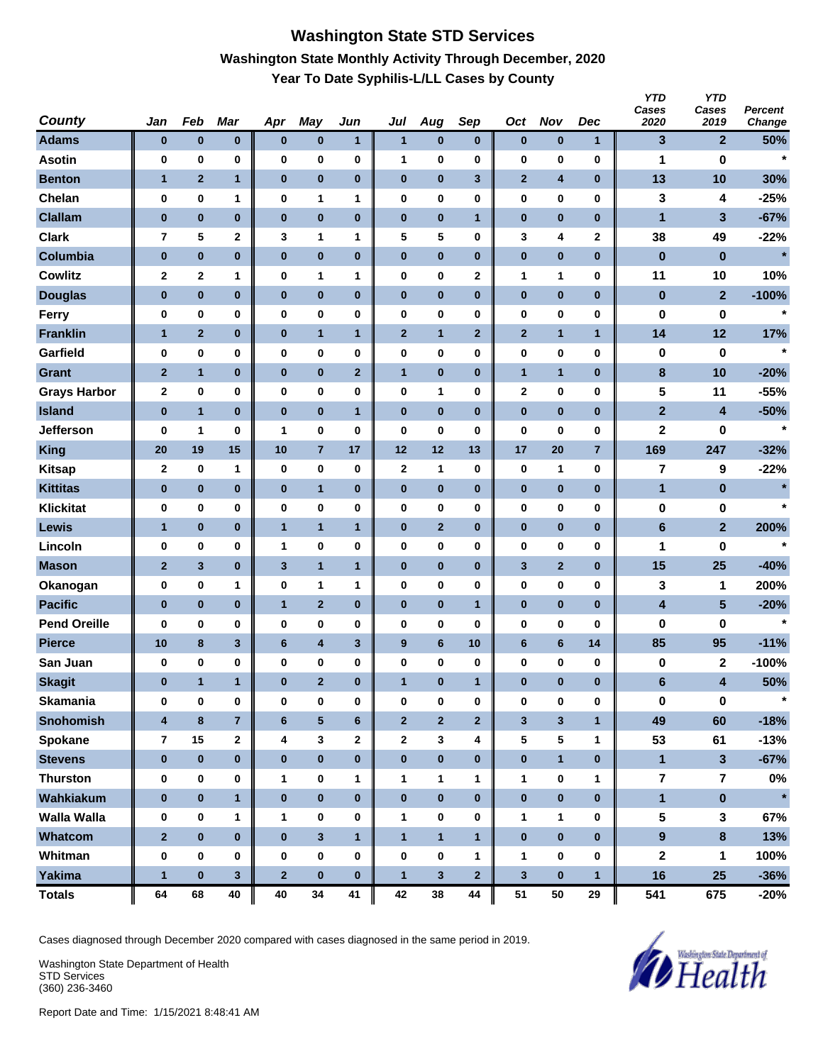# **Washington State STD Services Washington State Monthly Activity Through December, 2020 Year To Date Syphilis-L/LL Cases by County**

| <b>County</b>       | Jan                     | Feb            | <b>Mar</b>              | Apr                     | May                     | Jun          | Jul              | Aug                     | Sep                     | Oct            | <b>Nov</b>     | Dec            | <b>YTD</b><br>Cases<br>2020 | <b>YTD</b><br>Cases<br>2019 | <b>Percent</b><br>Change |
|---------------------|-------------------------|----------------|-------------------------|-------------------------|-------------------------|--------------|------------------|-------------------------|-------------------------|----------------|----------------|----------------|-----------------------------|-----------------------------|--------------------------|
| <b>Adams</b>        | $\bf{0}$                | $\pmb{0}$      | $\bf{0}$                | $\pmb{0}$               | $\pmb{0}$               | 1            | 1                | $\pmb{0}$               | $\bf{0}$                | $\pmb{0}$      | $\bf{0}$       | $\mathbf{1}$   | 3                           | $\overline{2}$              | 50%                      |
| <b>Asotin</b>       | $\bf{0}$                | 0              | 0                       | 0                       | $\bf{0}$                | 0            | 1                | 0                       | $\bf{0}$                | 0              | 0              | $\bf{0}$       | 1                           | 0                           | $\star$                  |
| <b>Benton</b>       | $\mathbf{1}$            | $\overline{2}$ | $\mathbf{1}$            | $\pmb{0}$               | $\bf{0}$                | $\pmb{0}$    | $\pmb{0}$        | $\pmb{0}$               | $\mathbf{3}$            | $\mathbf{2}$   | 4              | $\bf{0}$       | 13                          | 10                          | 30%                      |
| Chelan              | 0                       | 0              | 1                       | 0                       | 1                       | 1            | 0                | 0                       | 0                       | 0              | 0              | 0              | 3                           | 4                           | $-25%$                   |
| <b>Clallam</b>      | $\bf{0}$                | $\bf{0}$       | $\bf{0}$                | $\bf{0}$                | $\bf{0}$                | $\bf{0}$     | $\bf{0}$         | $\bf{0}$                | $\mathbf{1}$            | $\pmb{0}$      | $\bf{0}$       | $\bf{0}$       | 1                           | 3                           | $-67%$                   |
| <b>Clark</b>        | 7                       | 5              | 2                       | 3                       | 1                       | 1            | 5                | 5                       | 0                       | 3              | 4              | 2              | 38                          | 49                          | $-22%$                   |
| Columbia            | $\bf{0}$                | $\pmb{0}$      | $\bf{0}$                | $\pmb{0}$               | $\bf{0}$                | $\pmb{0}$    | $\pmb{0}$        | $\bf{0}$                | $\bf{0}$                | $\pmb{0}$      | $\pmb{0}$      | $\bf{0}$       | $\bf{0}$                    | $\pmb{0}$                   | $\star$                  |
| <b>Cowlitz</b>      | $\mathbf 2$             | $\mathbf 2$    | 1                       | 0                       | 1                       | 1            | 0                | 0                       | $\mathbf 2$             | 1              | 1              | $\bf{0}$       | 11                          | 10                          | 10%                      |
| <b>Douglas</b>      | $\bf{0}$                | $\pmb{0}$      | $\bf{0}$                | 0                       | $\pmb{0}$               | $\pmb{0}$    | $\pmb{0}$        | $\pmb{0}$               | $\bf{0}$                | $\bf{0}$       | $\pmb{0}$      | $\bf{0}$       | 0                           | $\mathbf{2}$                | $-100%$                  |
| Ferry               | $\bf{0}$                | 0              | 0                       | 0                       | $\bf{0}$                | 0            | 0                | 0                       | 0                       | 0              | 0              | 0              | 0                           | 0                           | $\star$                  |
| <b>Franklin</b>     | $\mathbf{1}$            | $\mathbf{2}$   | $\bf{0}$                | $\bf{0}$                | $\mathbf{1}$            | $\mathbf{1}$ | $\mathbf{2}$     | $\mathbf{1}$            | $\mathbf{2}$            | $\mathbf{2}$   | $\mathbf{1}$   | $\mathbf{1}$   | 14                          | 12                          | 17%                      |
| Garfield            | 0                       | 0              | 0                       | 0                       | $\bf{0}$                | 0            | 0                | 0                       | $\bf{0}$                | 0              | 0              | $\bf{0}$       | 0                           | 0                           | $\star$                  |
| <b>Grant</b>        | $\overline{2}$          | $\mathbf{1}$   | $\bf{0}$                | $\pmb{0}$               | $\pmb{0}$               | $\mathbf{2}$ | $\mathbf{1}$     | $\pmb{0}$               | $\bf{0}$                | $\mathbf{1}$   | $\mathbf{1}$   | $\bf{0}$       | $\pmb{8}$                   | 10                          | $-20%$                   |
| <b>Grays Harbor</b> | $\mathbf 2$             | 0              | 0                       | 0                       | $\bf{0}$                | 0            | 0                | 1                       | $\bf{0}$                | 2              | 0              | 0              | 5                           | 11                          | $-55%$                   |
| <b>Island</b>       | $\bf{0}$                | $\mathbf{1}$   | $\bf{0}$                | $\bf{0}$                | $\bf{0}$                | $\mathbf{1}$ | $\bf{0}$         | $\bf{0}$                | $\bf{0}$                | $\pmb{0}$      | $\bf{0}$       | $\bf{0}$       | $\overline{2}$              | 4                           | $-50%$                   |
| <b>Jefferson</b>    | 0                       | 1              | 0                       | 1                       | 0                       | 0            | 0                | 0                       | 0                       | 0              | 0              | 0              | 2                           | 0                           | $\star$                  |
| <b>King</b>         | 20                      | 19             | 15                      | 10                      | $\overline{7}$          | 17           | 12               | 12                      | 13                      | 17             | 20             | $\overline{7}$ | 169                         | 247                         | $-32%$                   |
| <b>Kitsap</b>       | $\mathbf 2$             | 0              | 1                       | 0                       | 0                       | 0            | 2                | 1                       | $\bf{0}$                | $\pmb{0}$      | 1              | $\bf{0}$       | 7                           | 9                           | $-22%$                   |
| <b>Kittitas</b>     | $\bf{0}$                | $\pmb{0}$      | $\bf{0}$                | 0                       | $\mathbf{1}$            | $\pmb{0}$    | $\pmb{0}$        | $\pmb{0}$               | $\bf{0}$                | $\bf{0}$       | $\bf{0}$       | $\bf{0}$       | 1                           | 0                           |                          |
| <b>Klickitat</b>    | $\bf{0}$                | 0              | 0                       | 0                       | $\bf{0}$                | 0            | 0                | 0                       | 0                       | 0              | 0              | 0              | 0                           | 0                           | $\star$                  |
| <b>Lewis</b>        | $\mathbf{1}$            | $\pmb{0}$      | $\bf{0}$                | $\mathbf{1}$            | $\mathbf{1}$            | $\mathbf{1}$ | $\pmb{0}$        | $\mathbf{2}$            | $\bf{0}$                | $\pmb{0}$      | $\bf{0}$       | $\bf{0}$       | $6\phantom{1}$              | $\mathbf{2}$                | 200%                     |
| Lincoln             | $\bf{0}$                | 0              | 0                       | 1                       | $\bf{0}$                | 0            | 0                | 0                       | $\bf{0}$                | 0              | 0              | $\bf{0}$       | 1                           | 0                           | $\star$                  |
| <b>Mason</b>        | $\overline{2}$          | $\mathbf{3}$   | $\bf{0}$                | 3                       | $\overline{1}$          | $\mathbf{1}$ | $\pmb{0}$        | $\pmb{0}$               | $\bf{0}$                | 3              | $\mathbf{2}$   | $\bf{0}$       | 15                          | 25                          | $-40%$                   |
| Okanogan            | 0                       | 0              | 1                       | 0                       | 1                       | 1            | 0                | 0                       | $\bf{0}$                | 0              | 0              | 0              | 3                           | 1                           | 200%                     |
| <b>Pacific</b>      | $\bf{0}$                | $\bf{0}$       | $\bf{0}$                | $\mathbf{1}$            | $\overline{2}$          | $\bf{0}$     | $\bf{0}$         | $\bf{0}$                | $\mathbf{1}$            | $\pmb{0}$      | $\bf{0}$       | $\mathbf{0}$   | 4                           | $5\phantom{1}$              | $-20%$                   |
| <b>Pend Oreille</b> | 0                       | 0              | 0                       | 0                       | 0                       | 0            | 0                | 0                       | 0                       | 0              | 0              | 0              | 0                           | 0                           | $\star$                  |
| <b>Pierce</b>       | 10                      | 8              | $\overline{\mathbf{3}}$ | $6\phantom{a}$          | $\overline{\mathbf{4}}$ | 3            | $\boldsymbol{9}$ | $6\phantom{a}$          | 10                      | $6\phantom{a}$ | $6\phantom{1}$ | 14             | 85                          | 95                          | $-11%$                   |
| San Juan            | 0                       | 0              | 0                       | 0                       | $\pmb{0}$               | 0            | 0                | 0                       | $\bf{0}$                | 0              | 0              | 0              | 0                           | 2                           | $-100%$                  |
| <b>Skagit</b>       | $\bf{0}$                | $\mathbf{1}$   | 1                       | $\pmb{0}$               | $\overline{2}$          | $\bf{0}$     | $\mathbf{1}$     | $\bf{0}$                | 1                       | $\bf{0}$       | $\bf{0}$       | $\bf{0}$       | 6                           | 4                           | 50%                      |
| <b>Skamania</b>     | $\bf{0}$                | 0              | 0                       | $\bf{0}$                | $\pmb{0}$               | 0            | 0                | 0                       | $\pmb{0}$               | $\bf{0}$       | 0              | $\bf{0}$       | $\pmb{0}$                   | $\pmb{0}$                   | $\star$                  |
| <b>Snohomish</b>    | $\overline{\mathbf{4}}$ | $\bf8$         | $\overline{7}$          | 6                       | $\sqrt{5}$              | $\bf 6$      | $\mathbf 2$      | $\overline{\mathbf{2}}$ | $\overline{\mathbf{2}}$ | $\mathbf{3}$   | $\mathbf{3}$   | $\mathbf{1}$   | 49                          | 60                          | $-18%$                   |
| Spokane             | $\overline{7}$          | 15             | $\mathbf{2}$            | 4                       | 3                       | $\mathbf{2}$ | $\mathbf{2}$     | 3                       | 4                       | 5              | 5              | 1              | 53                          | 61                          | $-13%$                   |
| <b>Stevens</b>      | $\bf{0}$                | $\pmb{0}$      | $\mathbf{0}$            | $\bf{0}$                | $\pmb{0}$               | $\pmb{0}$    | $\pmb{0}$        | $\pmb{0}$               | $\bf{0}$                | $\pmb{0}$      | $\mathbf{1}$   | $\bf{0}$       | $\mathbf{1}$                | $\mathbf{3}$                | $-67%$                   |
| <b>Thurston</b>     | $\pmb{0}$               | $\pmb{0}$      | 0                       | 1                       | $\pmb{0}$               | 1            | 1                | $\mathbf{1}$            | $\mathbf 1$             | 1              | 0              | 1              | $\bf 7$                     | $\overline{\mathbf{r}}$     | $0\%$                    |
| Wahkiakum           | $\bf{0}$                | $\bf{0}$       | $\mathbf{1}$            | $\bf{0}$                | $\pmb{0}$               | $\pmb{0}$    | $\pmb{0}$        | $\mathbf 0$             | $\bf{0}$                | $\pmb{0}$      | $\pmb{0}$      | $\bf{0}$       | $\mathbf{1}$                | $\pmb{0}$                   | $\star$                  |
| <b>Walla Walla</b>  | 0                       | 0              | 1                       | 1                       | $\pmb{0}$               | 0            | 1                | 0                       | 0                       | $\mathbf 1$    | 1              | 0              | ${\bf 5}$                   | 3                           | 67%                      |
| Whatcom             | $\overline{2}$          | $\pmb{0}$      | $\bf{0}$                | $\bf{0}$                | $\mathbf 3$             | $\mathbf{1}$ | $\mathbf{1}$     | $\mathbf{1}$            | $\overline{1}$          | $\pmb{0}$      | $\pmb{0}$      | $\bf{0}$       | $\overline{9}$              | $\bf{8}$                    | 13%                      |
| Whitman             | $\pmb{0}$               | 0              | 0                       | $\bf{0}$                | 0                       | 0            | $\bf{0}$         | 0                       | 1                       | $\mathbf{1}$   | 0              | $\bf{0}$       | 2                           | 1                           | 100%                     |
| <b>Yakima</b>       | $\mathbf{1}$            | $\bf{0}$       | $\mathbf{3}$            | $\overline{\mathbf{2}}$ | $\pmb{0}$               | $\bf{0}$     | $\mathbf{1}$     | $\mathbf{3}$            | $\mathbf{2}$            | $\mathbf{3}$   | $\pmb{0}$      | $\mathbf{1}$   | 16                          | 25                          | $-36%$                   |
| <b>Totals</b>       | 64                      | 68             | 40                      | 40                      | 34                      | 41           | 42               | 38                      | 44                      | 51             | 50             | 29             | 541                         | 675                         | $-20%$                   |

Cases diagnosed through December 2020 compared with cases diagnosed in the same period in 2019.

Washington State Department of Health STD Services (360) 236-3460